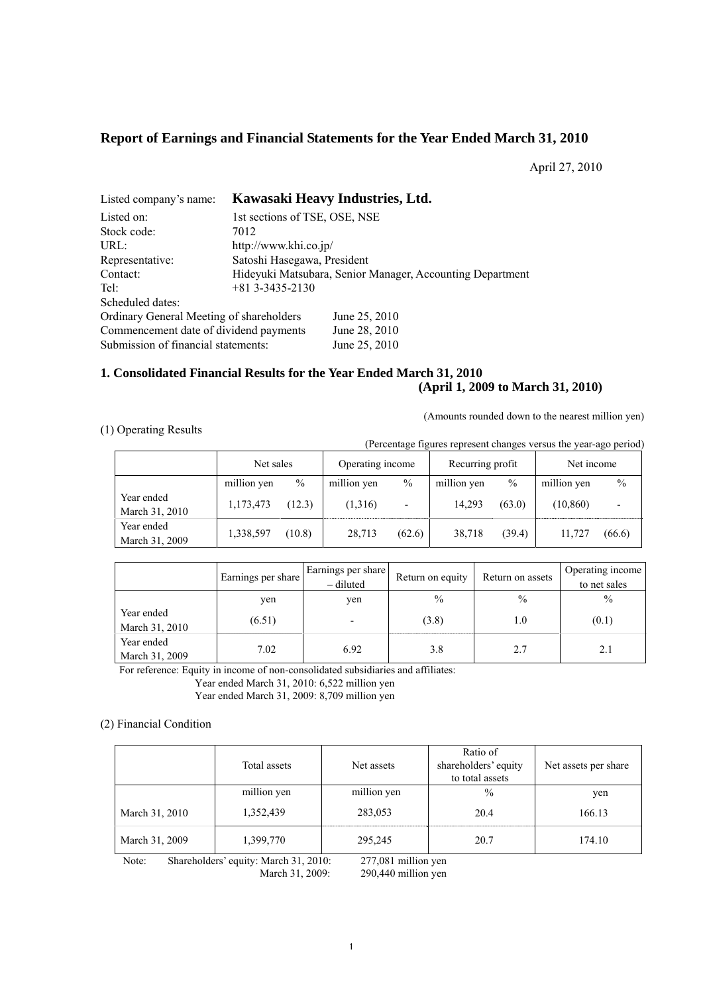# **Report of Earnings and Financial Statements for the Year Ended March 31, 2010**

April 27, 2010

| Listed company's name:                   | Kawasaki Heavy Industries, Ltd. |                                                           |  |  |  |  |  |
|------------------------------------------|---------------------------------|-----------------------------------------------------------|--|--|--|--|--|
| Listed on:                               | 1st sections of TSE, OSE, NSE   |                                                           |  |  |  |  |  |
| Stock code:                              | 7012                            |                                                           |  |  |  |  |  |
| URL:                                     |                                 | http://www.khi.co.jp/                                     |  |  |  |  |  |
| Representative:                          | Satoshi Hasegawa, President     |                                                           |  |  |  |  |  |
| Contact:                                 |                                 | Hideyuki Matsubara, Senior Manager, Accounting Department |  |  |  |  |  |
| Tel:                                     | $+81$ 3-3435-2130               |                                                           |  |  |  |  |  |
| Scheduled dates:                         |                                 |                                                           |  |  |  |  |  |
| Ordinary General Meeting of shareholders |                                 | June 25, 2010                                             |  |  |  |  |  |
| Commencement date of dividend payments   |                                 | June 28, 2010                                             |  |  |  |  |  |
| Submission of financial statements:      |                                 | June 25, 2010                                             |  |  |  |  |  |

# **1. Consolidated Financial Results for the Year Ended March 31, 2010 (April 1, 2009 to March 31, 2010)**

(Amounts rounded down to the nearest million yen)

# (1) Operating Results

(Percentage figures represent changes versus the year-ago period)

|                              | Net sales   |        | Operating income |        | Recurring profit |        | Net income  |        |
|------------------------------|-------------|--------|------------------|--------|------------------|--------|-------------|--------|
|                              | million yen | $\%$   | million yen      | $\%$   | million yen      | $\%$   | million yen | $\%$   |
| Year ended<br>March 31, 2010 | 1,173,473   | (12.3) | (1,316)          | ٠      | 14,293           | (63.0) | (10, 860)   |        |
| Year ended<br>March 31, 2009 | 1,338,597   | (10.8) | 28,713           | (62.6) | 38.718           | (39.4) | 11.727      | (66.6) |

|                              | Earnings per share | Earnings per share<br>$-$ diluted | Return on equity | Return on assets | Operating income<br>to net sales |
|------------------------------|--------------------|-----------------------------------|------------------|------------------|----------------------------------|
|                              | yen                | ven                               | $\frac{0}{0}$    | $\frac{0}{0}$    | $\frac{0}{0}$                    |
| Year ended<br>March 31, 2010 | (6.51)             |                                   | (3.8)            | 1.0              | (0.1)                            |
| Year ended<br>March 31, 2009 | 7.02               | 6.92                              | 3.8              | 2.7              |                                  |

For reference: Equity in income of non-consolidated subsidiaries and affiliates:

Year ended March 31, 2010: 6,522 million yen

Year ended March 31, 2009: 8,709 million yen

### (2) Financial Condition

|                | Total assets | Net assets  | Ratio of<br>shareholders' equity<br>to total assets | Net assets per share |
|----------------|--------------|-------------|-----------------------------------------------------|----------------------|
|                | million yen  | million yen | $\frac{0}{0}$                                       | yen                  |
| March 31, 2010 | 1,352,439    | 283,053     | 20.4                                                | 166.13               |
| March 31, 2009 | 1,399,770    | 295,245     | 20.7                                                | 174.10               |

Note: Shareholders' equity: March 31, 2010: 277,081 million yen March 31, 2009: 290,440 million yen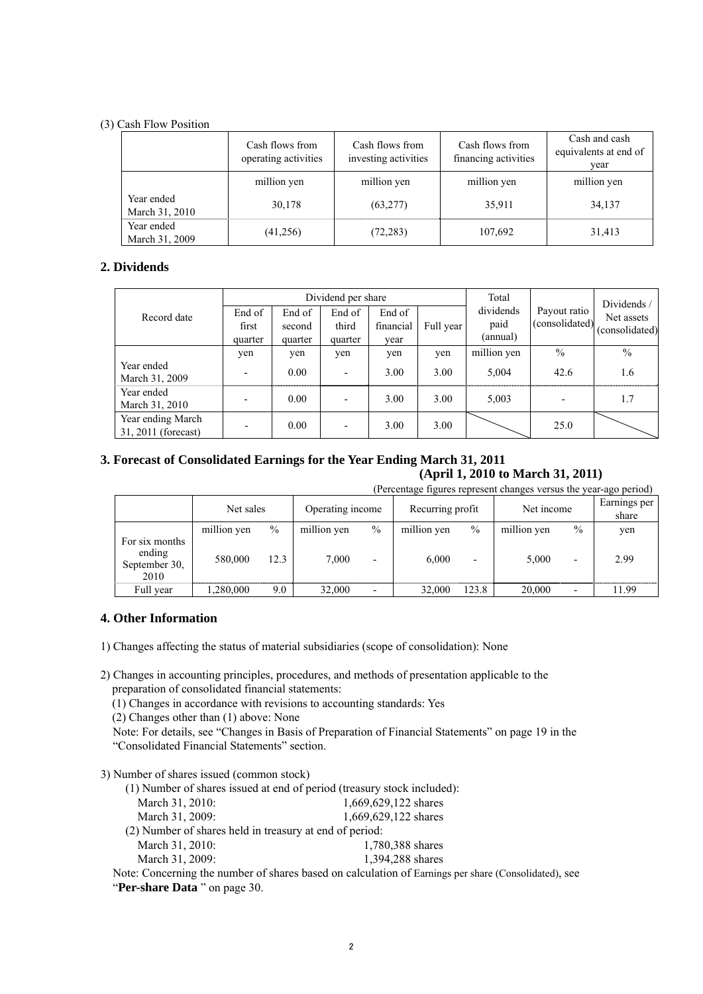### (3) Cash Flow Position

|                              | Cash flows from<br>operating activities | Cash flows from<br>investing activities | Cash flows from<br>financing activities | Cash and cash<br>equivalents at end of<br>year |
|------------------------------|-----------------------------------------|-----------------------------------------|-----------------------------------------|------------------------------------------------|
|                              | million yen                             | million yen                             | million yen                             | million yen                                    |
| Year ended<br>March 31, 2010 | 30,178                                  | (63, 277)                               | 35,911                                  | 34,137                                         |
| Year ended<br>March 31, 2009 | (41,256)                                | (72, 283)                               | 107,692                                 | 31,413                                         |

# **2. Dividends**

|                                          |         |         | Dividend per share |           | Total     |             | Dividends/     |                |
|------------------------------------------|---------|---------|--------------------|-----------|-----------|-------------|----------------|----------------|
| Record date                              | End of  | End of  | End of             | End of    |           | dividends   | Payout ratio   | Net assets     |
|                                          | first   | second  | third              | financial | Full year | paid        | (consolidated) | (consolidated) |
|                                          | quarter | quarter | quarter            | year      |           | (annual)    |                |                |
|                                          | yen     | yen     | yen                | yen       | yen       | million yen | $\frac{0}{0}$  | $\frac{0}{0}$  |
| Year ended<br>March 31, 2009             |         | 0.00    |                    | 3.00      | 3.00      | 5,004       | 42.6           | 1.6            |
| Year ended<br>March 31, 2010             |         | 0.00    |                    | 3.00      | 3.00      | 5,003       |                | 1.7            |
| Year ending March<br>31, 2011 (forecast) |         | 0.00    |                    | 3.00      | 3.00      |             | 25.0           |                |

# **3. Forecast of Consolidated Earnings for the Year Ending March 31, 2011**

**(April 1, 2010 to March 31, 2011)**  (Percentage figures represent changes versus the year-ago period)

|                                                   | (Percentage figures represent changes versus the year-ago period) |      |                  |                          |                  |                          |             |                          |                       |
|---------------------------------------------------|-------------------------------------------------------------------|------|------------------|--------------------------|------------------|--------------------------|-------------|--------------------------|-----------------------|
|                                                   | Net sales                                                         |      | Operating income |                          | Recurring profit |                          | Net income  |                          | Earnings per<br>share |
|                                                   | million yen                                                       | $\%$ | million yen      | $\%$                     | million yen      | $\frac{0}{0}$            | million yen | $\frac{0}{0}$            | yen                   |
| For six months<br>ending<br>September 30,<br>2010 | 580,000                                                           | 12.3 | 7.000            | $\overline{\phantom{0}}$ | 6.000            | $\overline{\phantom{0}}$ | 5,000       | $\overline{\phantom{0}}$ | 2.99                  |
| Full year                                         | 1,280,000                                                         | 9.0  | 32,000           |                          | 32.000           | 123.8                    | 20,000      | $\overline{\phantom{0}}$ | 11.99                 |

# **4. Other Information**

1) Changes affecting the status of material subsidiaries (scope of consolidation): None

2) Changes in accounting principles, procedures, and methods of presentation applicable to the preparation of consolidated financial statements:

(1) Changes in accordance with revisions to accounting standards: Yes

(2) Changes other than (1) above: None

Note: For details, see "Changes in Basis of Preparation of Financial Statements" on page 19 in the "Consolidated Financial Statements" section.

3) Number of shares issued (common stock)

- (1) Number of shares issued at end of period (treasury stock included):
- March 31, 2010: 1,669,629,122 shares March 31, 2009: 1,669,629,122 shares (2) Number of shares held in treasury at end of period:
- March 31, 2010: 1,780,388 shares March 31, 2009: 1,394,288 shares

Note: Concerning the number of shares based on calculation of Earnings per share (Consolidated), see "**Per-share Data** " on page 30.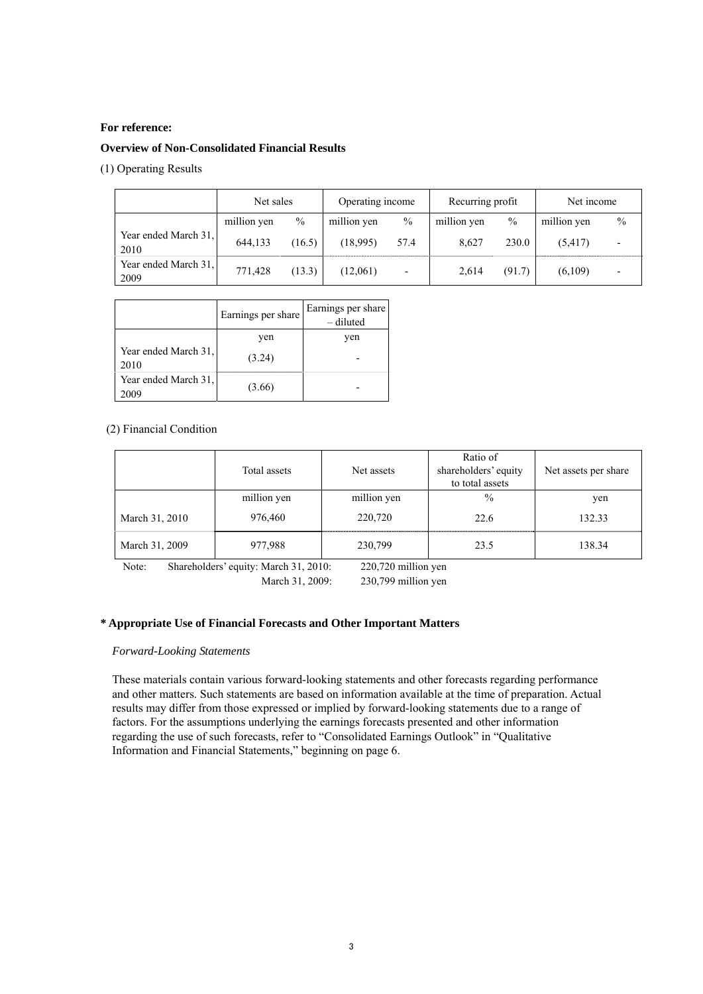### **For reference:**

#### **Overview of Non-Consolidated Financial Results**

(1) Operating Results

|                              | Net sales   |        | Operating income |                          | Recurring profit |               | Net income  |      |
|------------------------------|-------------|--------|------------------|--------------------------|------------------|---------------|-------------|------|
|                              | million yen | $\%$   | million yen      | $\frac{0}{0}$            | million yen      | $\frac{0}{0}$ | million yen | $\%$ |
| Year ended March 31.<br>2010 | 644.133     | (16.5) | (18,995)         | 57.4                     | 8.627            | 230.0         | (5, 417)    |      |
| Year ended March 31,<br>2009 | 771.428     | (13.3) | (12,061)         | $\overline{\phantom{0}}$ | 2.614            | (91.7)        | (6,109)     | -    |

|                              | Earnings per share | Earnings per share<br>- diluted |
|------------------------------|--------------------|---------------------------------|
|                              | yen                | ven                             |
| Year ended March 31,<br>2010 | (3.24)             |                                 |
| Year ended March 31,<br>2009 | (3.66)             |                                 |

### (2) Financial Condition

|                | Total assets | Net assets  | Ratio of<br>shareholders' equity<br>to total assets | Net assets per share |
|----------------|--------------|-------------|-----------------------------------------------------|----------------------|
|                | million yen  | million yen | $\frac{0}{0}$                                       | yen                  |
| March 31, 2010 | 976,460      | 220,720     | 22.6                                                | 132.33               |
| March 31, 2009 | 977,988      | 230,799     | 23.5                                                | 138.34               |

Note: Shareholders' equity: March 31, 2010: 220,720 million yen March 31, 2009: 230,799 million yen

#### **\* Appropriate Use of Financial Forecasts and Other Important Matters**

### *Forward-Looking Statements*

These materials contain various forward-looking statements and other forecasts regarding performance and other matters. Such statements are based on information available at the time of preparation. Actual results may differ from those expressed or implied by forward-looking statements due to a range of factors. For the assumptions underlying the earnings forecasts presented and other information regarding the use of such forecasts, refer to "Consolidated Earnings Outlook" in "Qualitative Information and Financial Statements," beginning on page 6.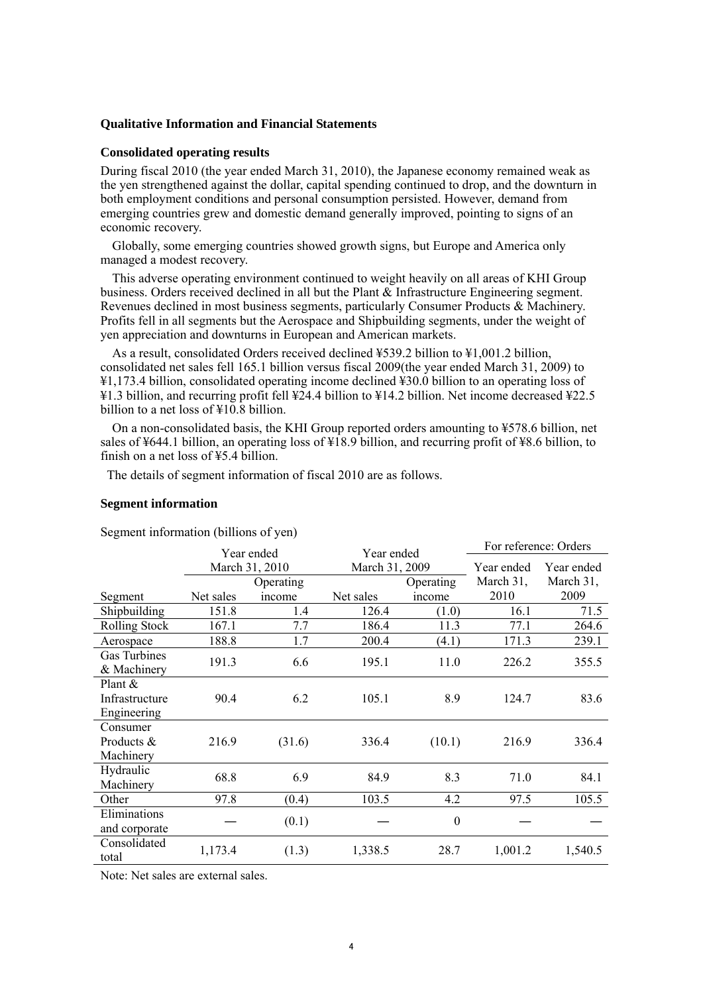### **Qualitative Information and Financial Statements**

#### **Consolidated operating results**

During fiscal 2010 (the year ended March 31, 2010), the Japanese economy remained weak as the yen strengthened against the dollar, capital spending continued to drop, and the downturn in both employment conditions and personal consumption persisted. However, demand from emerging countries grew and domestic demand generally improved, pointing to signs of an economic recovery.

Globally, some emerging countries showed growth signs, but Europe and America only managed a modest recovery.

This adverse operating environment continued to weight heavily on all areas of KHI Group business. Orders received declined in all but the Plant & Infrastructure Engineering segment. Revenues declined in most business segments, particularly Consumer Products & Machinery. Profits fell in all segments but the Aerospace and Shipbuilding segments, under the weight of yen appreciation and downturns in European and American markets.

As a result, consolidated Orders received declined ¥539.2 billion to ¥1,001.2 billion, consolidated net sales fell 165.1 billion versus fiscal 2009(the year ended March 31, 2009) to ¥1,173.4 billion, consolidated operating income declined ¥30.0 billion to an operating loss of ¥1.3 billion, and recurring profit fell ¥24.4 billion to ¥14.2 billion. Net income decreased ¥22.5 billion to a net loss of ¥10.8 billion.

On a non-consolidated basis, the KHI Group reported orders amounting to ¥578.6 billion, net sales of ¥644.1 billion, an operating loss of ¥18.9 billion, and recurring profit of ¥8.6 billion, to finish on a net loss of  $\frac{1}{2}$ 5.4 billion.

The details of segment information of fiscal 2010 are as follows.

### **Segment information**

Segment information (billions of yen)

|                      | Year ended<br>Year ended |                |                |                  | For reference: Orders |            |
|----------------------|--------------------------|----------------|----------------|------------------|-----------------------|------------|
|                      |                          | March 31, 2010 | March 31, 2009 |                  | Year ended            | Year ended |
|                      |                          | Operating      |                | Operating        | March 31,             | March 31,  |
| Segment              | Net sales                | income         | Net sales      | income           | 2010                  | 2009       |
| Shipbuilding         | 151.8                    | 1.4            | 126.4          | (1.0)            | 16.1                  | 71.5       |
|                      |                          |                |                |                  |                       |            |
| <b>Rolling Stock</b> | 167.1                    | 7.7            | 186.4          | 11.3             | 77.1                  | 264.6      |
| Aerospace            | 188.8                    | 1.7            | 200.4          | (4.1)            | 171.3                 | 239.1      |
| Gas Turbines         |                          |                |                |                  |                       |            |
| & Machinery          | 191.3                    | 6.6            | 195.1          | 11.0             | 226.2                 | 355.5      |
| Plant $\&$           |                          |                |                |                  |                       |            |
| Infrastructure       | 90.4                     | 6.2            | 105.1          | 8.9              | 124.7                 | 83.6       |
| Engineering          |                          |                |                |                  |                       |            |
| Consumer             |                          |                |                |                  |                       |            |
| Products &           | 216.9                    | (31.6)         | 336.4          | (10.1)           | 216.9                 | 336.4      |
| Machinery            |                          |                |                |                  |                       |            |
| Hydraulic            |                          |                |                |                  |                       |            |
| Machinery            | 68.8                     | 6.9            | 84.9           | 8.3              | 71.0                  | 84.1       |
| Other                | 97.8                     | (0.4)          | 103.5          | 4.2              | 97.5                  | 105.5      |
| Eliminations         |                          |                |                |                  |                       |            |
| and corporate        |                          | (0.1)          |                | $\boldsymbol{0}$ |                       |            |
| Consolidated         |                          |                |                | 28.7             |                       |            |
| total                | 1,173.4                  | (1.3)          | 1,338.5        |                  | 1,001.2               | 1,540.5    |

Note: Net sales are external sales.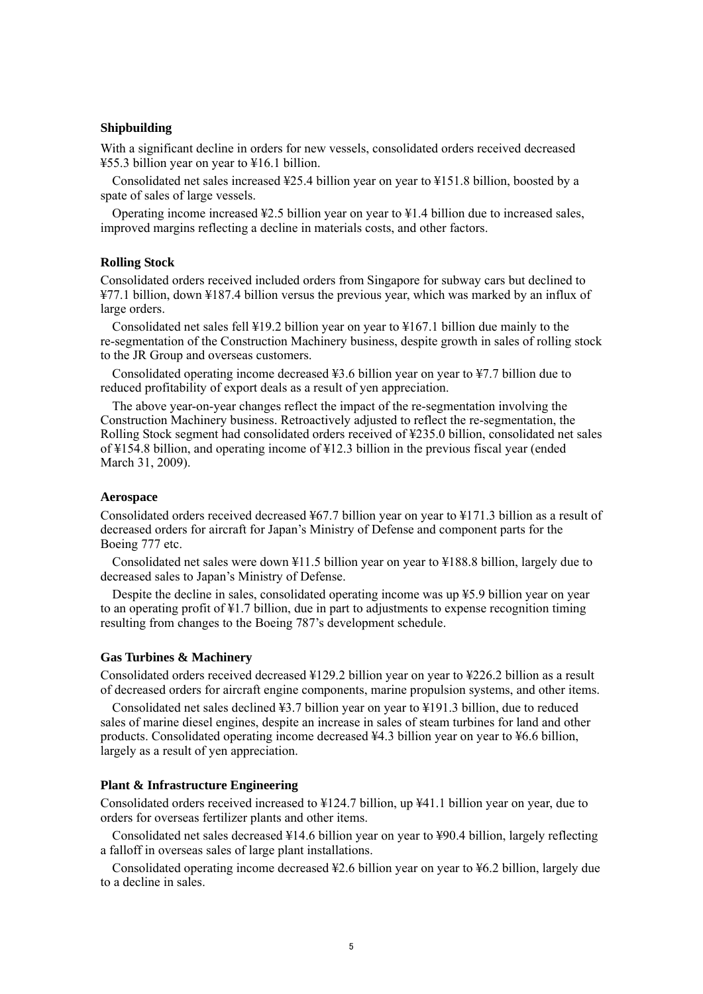### **Shipbuilding**

With a significant decline in orders for new vessels, consolidated orders received decreased ¥55.3 billion year on year to ¥16.1 billion.

Consolidated net sales increased ¥25.4 billion year on year to ¥151.8 billion, boosted by a spate of sales of large vessels.

Operating income increased  $\frac{42.5}{2}$  billion year on year to  $\frac{41.4}{2}$  billion due to increased sales, improved margins reflecting a decline in materials costs, and other factors.

### **Rolling Stock**

Consolidated orders received included orders from Singapore for subway cars but declined to ¥77.1 billion, down ¥187.4 billion versus the previous year, which was marked by an influx of large orders.

Consolidated net sales fell ¥19.2 billion year on year to ¥167.1 billion due mainly to the re-segmentation of the Construction Machinery business, despite growth in sales of rolling stock to the JR Group and overseas customers.

Consolidated operating income decreased ¥3.6 billion year on year to ¥7.7 billion due to reduced profitability of export deals as a result of yen appreciation.

The above year-on-year changes reflect the impact of the re-segmentation involving the Construction Machinery business. Retroactively adjusted to reflect the re-segmentation, the Rolling Stock segment had consolidated orders received of ¥235.0 billion, consolidated net sales of ¥154.8 billion, and operating income of ¥12.3 billion in the previous fiscal year (ended March 31, 2009).

### **Aerospace**

Consolidated orders received decreased ¥67.7 billion year on year to ¥171.3 billion as a result of decreased orders for aircraft for Japan's Ministry of Defense and component parts for the Boeing 777 etc.

Consolidated net sales were down ¥11.5 billion year on year to ¥188.8 billion, largely due to decreased sales to Japan's Ministry of Defense.

Despite the decline in sales, consolidated operating income was up ¥5.9 billion year on year to an operating profit of ¥1.7 billion, due in part to adjustments to expense recognition timing resulting from changes to the Boeing 787's development schedule.

#### **Gas Turbines & Machinery**

Consolidated orders received decreased ¥129.2 billion year on year to ¥226.2 billion as a result of decreased orders for aircraft engine components, marine propulsion systems, and other items.

Consolidated net sales declined ¥3.7 billion year on year to ¥191.3 billion, due to reduced sales of marine diesel engines, despite an increase in sales of steam turbines for land and other products. Consolidated operating income decreased ¥4.3 billion year on year to ¥6.6 billion, largely as a result of yen appreciation.

#### **Plant & Infrastructure Engineering**

Consolidated orders received increased to ¥124.7 billion, up ¥41.1 billion year on year, due to orders for overseas fertilizer plants and other items.

Consolidated net sales decreased ¥14.6 billion year on year to ¥90.4 billion, largely reflecting a falloff in overseas sales of large plant installations.

Consolidated operating income decreased ¥2.6 billion year on year to ¥6.2 billion, largely due to a decline in sales.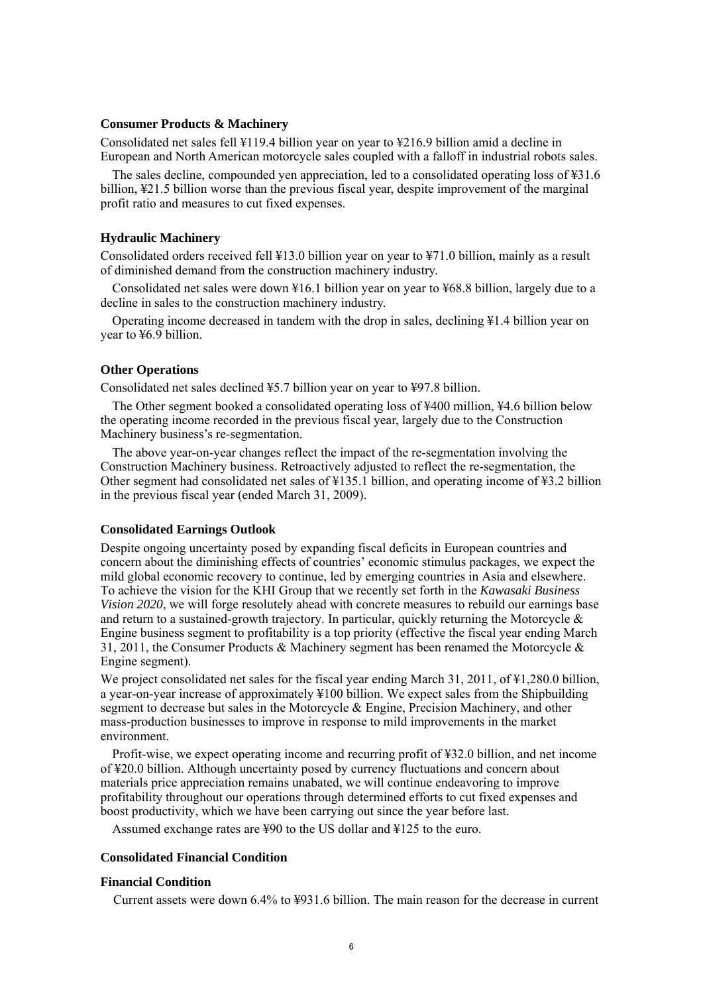### **Consumer Products & Machinery**

Consolidated net sales fell ¥119.4 billion year on year to ¥216.9 billion amid a decline in European and North American motorcycle sales coupled with a falloff in industrial robots sales.

The sales decline, compounded yen appreciation, led to a consolidated operating loss of ¥31.6 billion, ¥21.5 billion worse than the previous fiscal year, despite improvement of the marginal profit ratio and measures to cut fixed expenses.

#### **Hydraulic Machinery**

Consolidated orders received fell ¥13.0 billion year on year to ¥71.0 billion, mainly as a result of diminished demand from the construction machinery industry.

Consolidated net sales were down ¥16.1 billion year on year to ¥68.8 billion, largely due to a decline in sales to the construction machinery industry.

Operating income decreased in tandem with the drop in sales, declining ¥1.4 billion year on year to ¥6.9 billion.

# **Other Operations**

Consolidated net sales declined ¥5.7 billion year on year to ¥97.8 billion.

The Other segment booked a consolidated operating loss of ¥400 million, ¥4.6 billion below the operating income recorded in the previous fiscal year, largely due to the Construction Machinery business's re-segmentation.

The above year-on-year changes reflect the impact of the re-segmentation involving the Construction Machinery business. Retroactively adjusted to reflect the re-segmentation, the Other segment had consolidated net sales of ¥135.1 billion, and operating income of ¥3.2 billion in the previous fiscal year (ended March 31, 2009).

#### **Consolidated Earnings Outlook**

Despite ongoing uncertainty posed by expanding fiscal deficits in European countries and concern about the diminishing effects of countries' economic stimulus packages, we expect the mild global economic recovery to continue, led by emerging countries in Asia and elsewhere. To achieve the vision for the KHI Group that we recently set forth in the *Kawasaki Business Vision 2020*, we will forge resolutely ahead with concrete measures to rebuild our earnings base and return to a sustained-growth trajectory. In particular, quickly returning the Motorcycle  $\&$ Engine business segment to profitability is a top priority (effective the fiscal year ending March 31, 2011, the Consumer Products & Machinery segment has been renamed the Motorcycle & Engine segment).

We project consolidated net sales for the fiscal year ending March 31, 2011, of \\$1,280.0 billion, a year-on-year increase of approximately ¥100 billion. We expect sales from the Shipbuilding segment to decrease but sales in the Motorcycle & Engine, Precision Machinery, and other mass-production businesses to improve in response to mild improvements in the market environment.

Profit-wise, we expect operating income and recurring profit of ¥32.0 billion, and net income of ¥20.0 billion. Although uncertainty posed by currency fluctuations and concern about materials price appreciation remains unabated, we will continue endeavoring to improve profitability throughout our operations through determined efforts to cut fixed expenses and boost productivity, which we have been carrying out since the year before last.

Assumed exchange rates are ¥90 to the US dollar and ¥125 to the euro.

### **Consolidated Financial Condition**

#### **Financial Condition**

Current assets were down 6.4% to ¥931.6 billion. The main reason for the decrease in current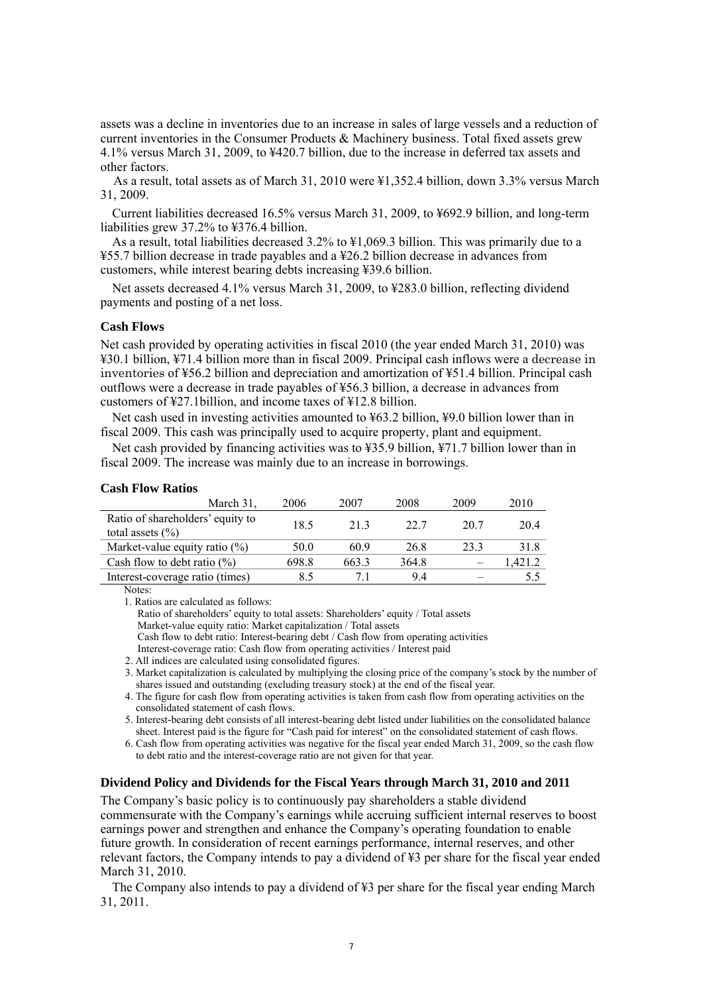assets was a decline in inventories due to an increase in sales of large vessels and a reduction of current inventories in the Consumer Products & Machinery business. Total fixed assets grew 4.1% versus March 31, 2009, to ¥420.7 billion, due to the increase in deferred tax assets and other factors.

As a result, total assets as of March 31, 2010 were ¥1,352.4 billion, down 3.3% versus March 31, 2009.

Current liabilities decreased 16.5% versus March 31, 2009, to ¥692.9 billion, and long-term liabilities grew 37.2% to ¥376.4 billion.

As a result, total liabilities decreased 3.2% to ¥1,069.3 billion. This was primarily due to a ¥55.7 billion decrease in trade payables and a ¥26.2 billion decrease in advances from customers, while interest bearing debts increasing ¥39.6 billion.

Net assets decreased 4.1% versus March 31, 2009, to ¥283.0 billion, reflecting dividend payments and posting of a net loss.

### **Cash Flows**

Net cash provided by operating activities in fiscal 2010 (the year ended March 31, 2010) was ¥30.1 billion, ¥71.4 billion more than in fiscal 2009. Principal cash inflows were a decrease in inventories of ¥56.2 billion and depreciation and amortization of ¥51.4 billion. Principal cash outflows were a decrease in trade payables of ¥56.3 billion, a decrease in advances from customers of ¥27.1billion, and income taxes of ¥12.8 billion.

Net cash used in investing activities amounted to ¥63.2 billion, ¥9.0 billion lower than in fiscal 2009. This cash was principally used to acquire property, plant and equipment.

Net cash provided by financing activities was to ¥35.9 billion, ¥71.7 billion lower than in fiscal 2009. The increase was mainly due to an increase in borrowings.

#### **Cash Flow Ratios**

| March 31.                                                | 2006  | 2007  | 2008  | 2009 | 2010   |
|----------------------------------------------------------|-------|-------|-------|------|--------|
| Ratio of shareholders' equity to                         | 18.5  | 213   | 22.7  | 20.7 | 204    |
| total assets $(\% )$<br>Market-value equity ratio $(\%)$ | 50.0  | 60.9  | 26.8  | 233  | 31.8   |
| Cash flow to debt ratio $(\% )$                          | 698.8 | 663.3 | 364.8 |      | .421.2 |
| Interest-coverage ratio (times)                          | 8.5   | 71    | 94    |      | 5.5    |

Notes:

1. Ratios are calculated as follows:

Ratio of shareholders' equity to total assets: Shareholders' equity / Total assets Market-value equity ratio: Market capitalization / Total assets

Cash flow to debt ratio: Interest-bearing debt / Cash flow from operating activities

Interest-coverage ratio: Cash flow from operating activities / Interest paid

2. All indices are calculated using consolidated figures.

3. Market capitalization is calculated by multiplying the closing price of the company's stock by the number of shares issued and outstanding (excluding treasury stock) at the end of the fiscal year.

4. The figure for cash flow from operating activities is taken from cash flow from operating activities on the consolidated statement of cash flows.

5. Interest-bearing debt consists of all interest-bearing debt listed under liabilities on the consolidated balance sheet. Interest paid is the figure for "Cash paid for interest" on the consolidated statement of cash flows.

6. Cash flow from operating activities was negative for the fiscal year ended March 31, 2009, so the cash flow to debt ratio and the interest-coverage ratio are not given for that year.

#### **Dividend Policy and Dividends for the Fiscal Years through March 31, 2010 and 2011**

The Company's basic policy is to continuously pay shareholders a stable dividend commensurate with the Company's earnings while accruing sufficient internal reserves to boost earnings power and strengthen and enhance the Company's operating foundation to enable future growth. In consideration of recent earnings performance, internal reserves, and other relevant factors, the Company intends to pay a dividend of ¥3 per share for the fiscal year ended March 31, 2010.

The Company also intends to pay a dividend of ¥3 per share for the fiscal year ending March 31, 2011.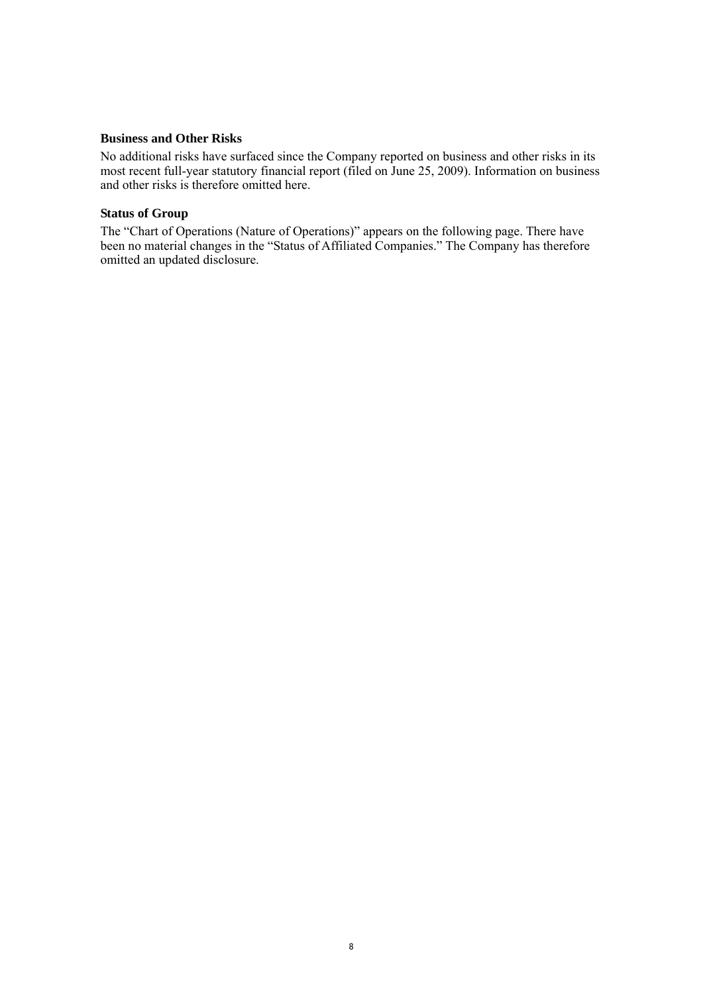# **Business and Other Risks**

No additional risks have surfaced since the Company reported on business and other risks in its most recent full-year statutory financial report (filed on June 25, 2009). Information on business and other risks is therefore omitted here.

# **Status of Group**

The "Chart of Operations (Nature of Operations)" appears on the following page. There have been no material changes in the "Status of Affiliated Companies." The Company has therefore omitted an updated disclosure.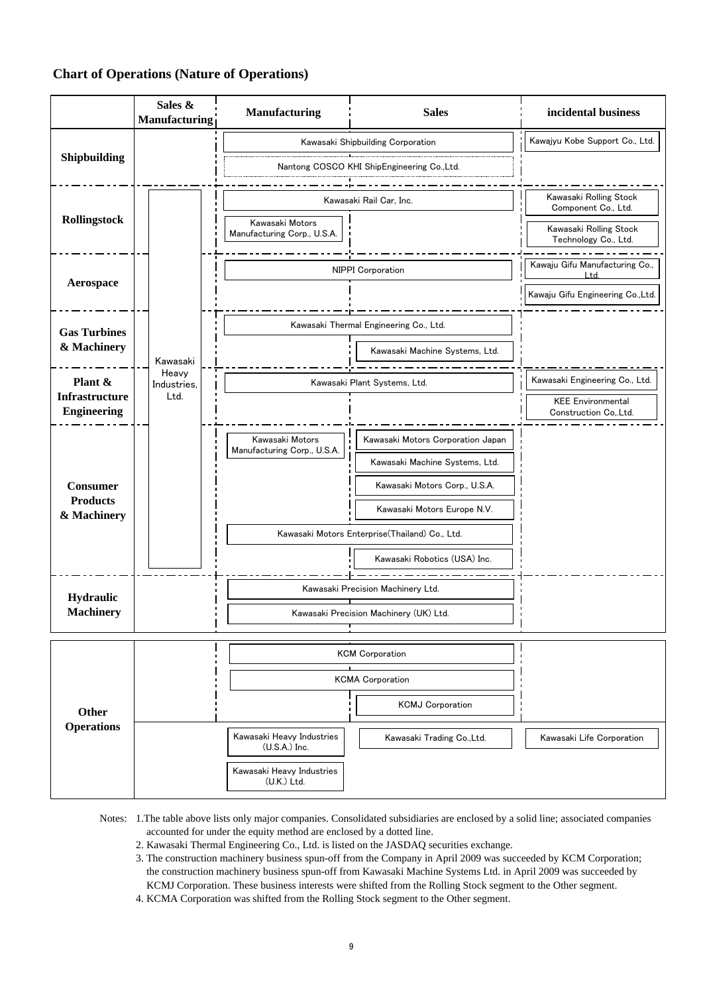# **Chart of Operations (Nature of Operations)**

|                                             | Sales &<br>Manufacturing | Manufacturing<br><b>Sales</b>                  |                                                | incidental business                             |  |
|---------------------------------------------|--------------------------|------------------------------------------------|------------------------------------------------|-------------------------------------------------|--|
|                                             |                          |                                                | Kawasaki Shipbuilding Corporation              | Kawajyu Kobe Support Co., Ltd.                  |  |
| Shipbuilding                                |                          |                                                | Nantong COSCO KHI ShipEngineering Co.,Ltd.     |                                                 |  |
|                                             |                          |                                                |                                                | Kawasaki Rolling Stock                          |  |
| Rollingstock                                |                          | Kawasaki Rail Car. Inc.                        |                                                | Component Co., Ltd.                             |  |
|                                             |                          | Kawasaki Motors<br>Manufacturing Corp., U.S.A. |                                                | Kawasaki Rolling Stock<br>Technology Co., Ltd.  |  |
| Aerospace                                   |                          |                                                | <b>NIPPI Corporation</b>                       | Kawaju Gifu Manufacturing Co.,<br>Ltd.          |  |
|                                             |                          |                                                |                                                | Kawaju Gifu Engineering Co., Ltd.               |  |
| <b>Gas Turbines</b>                         |                          |                                                | Kawasaki Thermal Engineering Co., Ltd.         |                                                 |  |
| & Machinery                                 | Kawasaki                 |                                                | Kawasaki Machine Systems, Ltd.                 |                                                 |  |
| Plant &                                     | Heavy<br>Industries,     |                                                | Kawasaki Plant Systems, Ltd.                   | Kawasaki Engineering Co., Ltd.                  |  |
| <b>Infrastructure</b><br><b>Engineering</b> | Ltd.                     |                                                |                                                | <b>KEE Environmental</b><br>Construction CoLtd. |  |
|                                             |                          | Kawasaki Motors                                | Kawasaki Motors Corporation Japan              |                                                 |  |
|                                             |                          | Manufacturing Corp., U.S.A.                    | Kawasaki Machine Systems, Ltd.                 |                                                 |  |
| <b>Consumer</b>                             |                          |                                                | Kawasaki Motors Corp., U.S.A.                  |                                                 |  |
| <b>Products</b><br>& Machinery              |                          |                                                | Kawasaki Motors Europe N.V.                    |                                                 |  |
|                                             |                          |                                                | Kawasaki Motors Enterprise(Thailand) Co., Ltd. |                                                 |  |
|                                             |                          |                                                | Kawasaki Robotics (USA) Inc.                   |                                                 |  |
| Hydraulic                                   |                          |                                                | Kawasaki Precision Machinery Ltd.              |                                                 |  |
| <b>Machinery</b>                            |                          |                                                | Kawasaki Precision Machinery (UK) Ltd.         |                                                 |  |
|                                             |                          |                                                | <b>KCM Corporation</b>                         |                                                 |  |
| Other<br><b>Operations</b>                  |                          |                                                | <b>KCMA Corporation</b>                        |                                                 |  |
|                                             |                          |                                                | <b>KCMJ Corporation</b>                        |                                                 |  |
|                                             |                          | Kawasaki Heavy Industries<br>(U.S.A.) Inc.     | Kawasaki Trading Co., Ltd.                     | Kawasaki Life Corporation                       |  |
|                                             |                          | Kawasaki Heavy Industries<br>(U.K.) Ltd.       |                                                |                                                 |  |

Notes: 1.The table above lists only major companies. Consolidated subsidiaries are enclosed by a solid line; associated companies accounted for under the equity method are enclosed by a dotted line.

- 2. Kawasaki Thermal Engineering Co., Ltd. is listed on the JASDAQ securities exchange.
- 3. The construction machinery business spun-off from the Company in April 2009 was succeeded by KCM Corporation; the construction machinery business spun-off from Kawasaki Machine Systems Ltd. in April 2009 was succeeded by KCMJ Corporation. These business interests were shifted from the Rolling Stock segment to the Other segment.
- 4. KCMA Corporation was shifted from the Rolling Stock segment to the Other segment.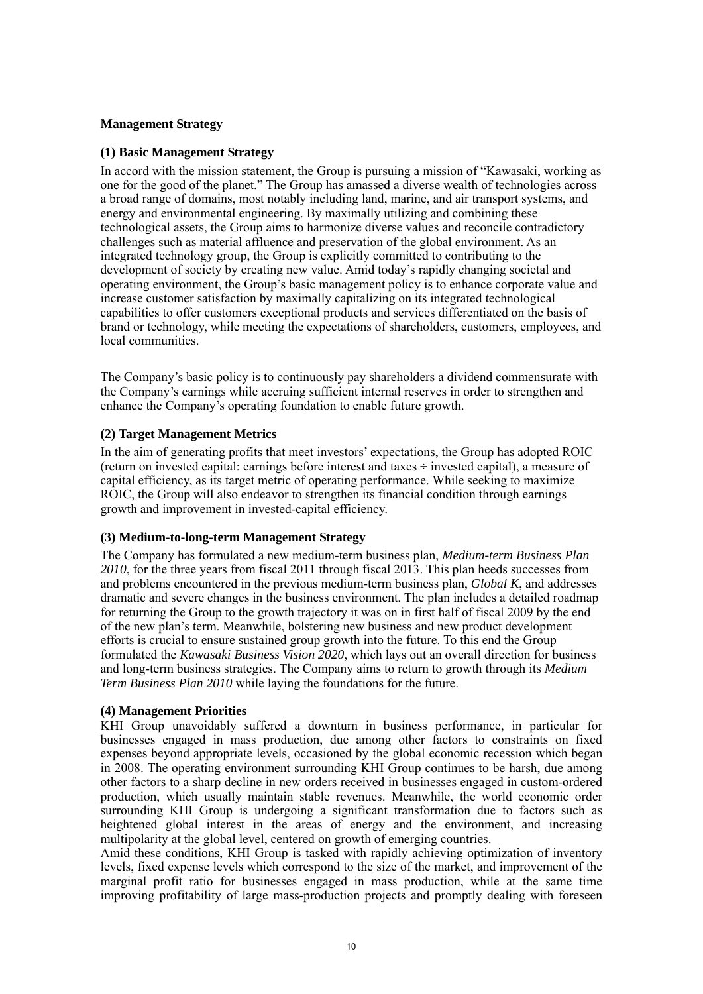# **Management Strategy**

# **(1) Basic Management Strategy**

In accord with the mission statement, the Group is pursuing a mission of "Kawasaki, working as one for the good of the planet." The Group has amassed a diverse wealth of technologies across a broad range of domains, most notably including land, marine, and air transport systems, and energy and environmental engineering. By maximally utilizing and combining these technological assets, the Group aims to harmonize diverse values and reconcile contradictory challenges such as material affluence and preservation of the global environment. As an integrated technology group, the Group is explicitly committed to contributing to the development of society by creating new value. Amid today's rapidly changing societal and operating environment, the Group's basic management policy is to enhance corporate value and increase customer satisfaction by maximally capitalizing on its integrated technological capabilities to offer customers exceptional products and services differentiated on the basis of brand or technology, while meeting the expectations of shareholders, customers, employees, and local communities.

The Company's basic policy is to continuously pay shareholders a dividend commensurate with the Company's earnings while accruing sufficient internal reserves in order to strengthen and enhance the Company's operating foundation to enable future growth.

# **(2) Target Management Metrics**

In the aim of generating profits that meet investors' expectations, the Group has adopted ROIC (return on invested capital: earnings before interest and taxes ÷ invested capital), a measure of capital efficiency, as its target metric of operating performance. While seeking to maximize ROIC, the Group will also endeavor to strengthen its financial condition through earnings growth and improvement in invested-capital efficiency.

### **(3) Medium-to-long-term Management Strategy**

The Company has formulated a new medium-term business plan, *Medium-term Business Plan 2010*, for the three years from fiscal 2011 through fiscal 2013. This plan heeds successes from and problems encountered in the previous medium-term business plan, *Global K*, and addresses dramatic and severe changes in the business environment. The plan includes a detailed roadmap for returning the Group to the growth trajectory it was on in first half of fiscal 2009 by the end of the new plan's term. Meanwhile, bolstering new business and new product development efforts is crucial to ensure sustained group growth into the future. To this end the Group formulated the *Kawasaki Business Vision 2020*, which lays out an overall direction for business and long-term business strategies. The Company aims to return to growth through its *Medium Term Business Plan 2010* while laying the foundations for the future.

# **(4) Management Priorities**

KHI Group unavoidably suffered a downturn in business performance, in particular for businesses engaged in mass production, due among other factors to constraints on fixed expenses beyond appropriate levels, occasioned by the global economic recession which began in 2008. The operating environment surrounding KHI Group continues to be harsh, due among other factors to a sharp decline in new orders received in businesses engaged in custom-ordered production, which usually maintain stable revenues. Meanwhile, the world economic order surrounding KHI Group is undergoing a significant transformation due to factors such as heightened global interest in the areas of energy and the environment, and increasing multipolarity at the global level, centered on growth of emerging countries.

Amid these conditions, KHI Group is tasked with rapidly achieving optimization of inventory levels, fixed expense levels which correspond to the size of the market, and improvement of the marginal profit ratio for businesses engaged in mass production, while at the same time improving profitability of large mass-production projects and promptly dealing with foreseen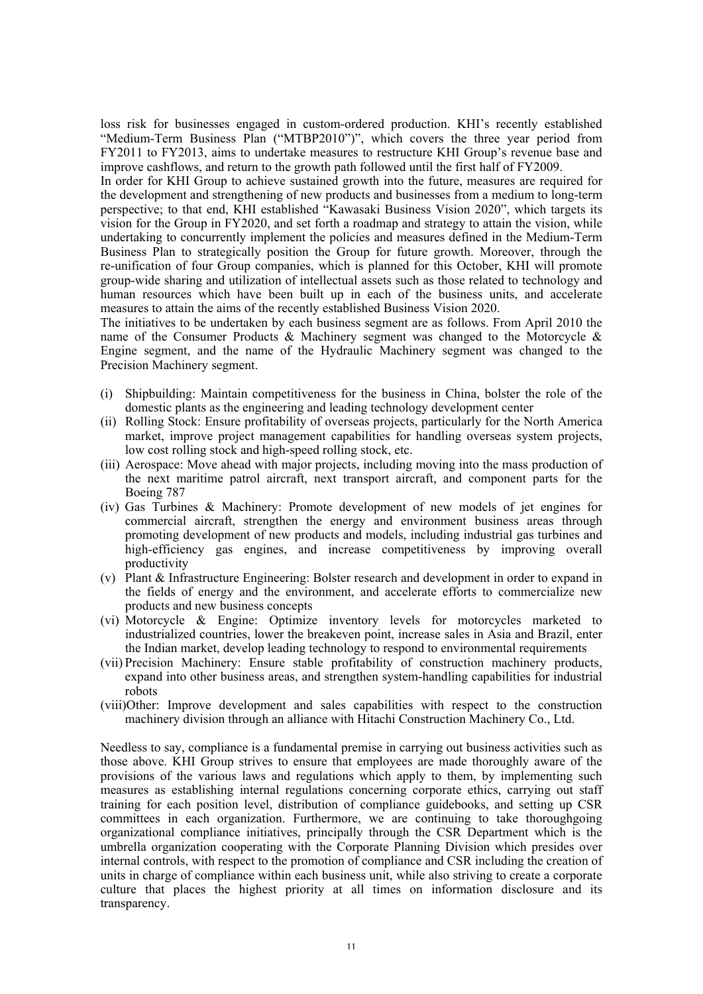loss risk for businesses engaged in custom-ordered production. KHI's recently established "Medium-Term Business Plan ("MTBP2010")", which covers the three year period from FY2011 to FY2013, aims to undertake measures to restructure KHI Group's revenue base and improve cashflows, and return to the growth path followed until the first half of FY2009.

In order for KHI Group to achieve sustained growth into the future, measures are required for the development and strengthening of new products and businesses from a medium to long-term perspective; to that end, KHI established "Kawasaki Business Vision 2020", which targets its vision for the Group in FY2020, and set forth a roadmap and strategy to attain the vision, while undertaking to concurrently implement the policies and measures defined in the Medium-Term Business Plan to strategically position the Group for future growth. Moreover, through the re-unification of four Group companies, which is planned for this October, KHI will promote group-wide sharing and utilization of intellectual assets such as those related to technology and human resources which have been built up in each of the business units, and accelerate measures to attain the aims of the recently established Business Vision 2020.

The initiatives to be undertaken by each business segment are as follows. From April 2010 the name of the Consumer Products & Machinery segment was changed to the Motorcycle & Engine segment, and the name of the Hydraulic Machinery segment was changed to the Precision Machinery segment.

- (i) Shipbuilding: Maintain competitiveness for the business in China, bolster the role of the domestic plants as the engineering and leading technology development center
- (ii) Rolling Stock: Ensure profitability of overseas projects, particularly for the North America market, improve project management capabilities for handling overseas system projects, low cost rolling stock and high-speed rolling stock, etc.
- (iii) Aerospace: Move ahead with major projects, including moving into the mass production of the next maritime patrol aircraft, next transport aircraft, and component parts for the Boeing 787
- (iv) Gas Turbines & Machinery: Promote development of new models of jet engines for commercial aircraft, strengthen the energy and environment business areas through promoting development of new products and models, including industrial gas turbines and high-efficiency gas engines, and increase competitiveness by improving overall productivity
- (v) Plant & Infrastructure Engineering: Bolster research and development in order to expand in the fields of energy and the environment, and accelerate efforts to commercialize new products and new business concepts
- (vi) Motorcycle & Engine: Optimize inventory levels for motorcycles marketed to industrialized countries, lower the breakeven point, increase sales in Asia and Brazil, enter the Indian market, develop leading technology to respond to environmental requirements
- (vii) Precision Machinery: Ensure stable profitability of construction machinery products, expand into other business areas, and strengthen system-handling capabilities for industrial robots
- (viii)Other: Improve development and sales capabilities with respect to the construction machinery division through an alliance with Hitachi Construction Machinery Co., Ltd.

Needless to say, compliance is a fundamental premise in carrying out business activities such as those above. KHI Group strives to ensure that employees are made thoroughly aware of the provisions of the various laws and regulations which apply to them, by implementing such measures as establishing internal regulations concerning corporate ethics, carrying out staff training for each position level, distribution of compliance guidebooks, and setting up CSR committees in each organization. Furthermore, we are continuing to take thoroughgoing organizational compliance initiatives, principally through the CSR Department which is the umbrella organization cooperating with the Corporate Planning Division which presides over internal controls, with respect to the promotion of compliance and CSR including the creation of units in charge of compliance within each business unit, while also striving to create a corporate culture that places the highest priority at all times on information disclosure and its transparency.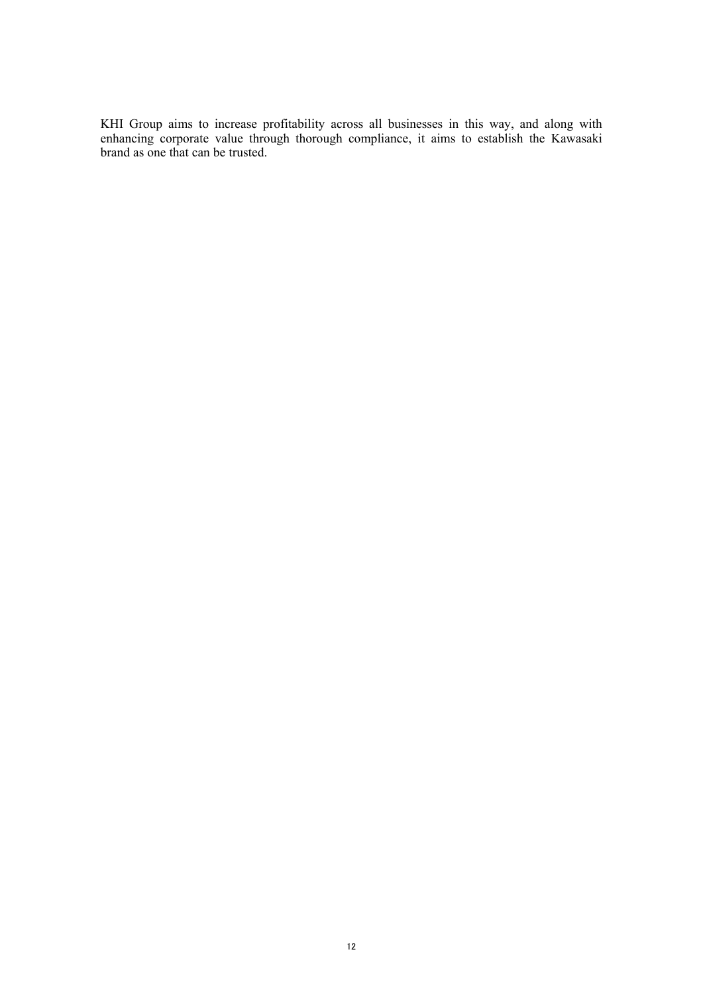KHI Group aims to increase profitability across all businesses in this way, and along with enhancing corporate value through thorough compliance, it aims to establish the Kawasaki brand as one that can be trusted.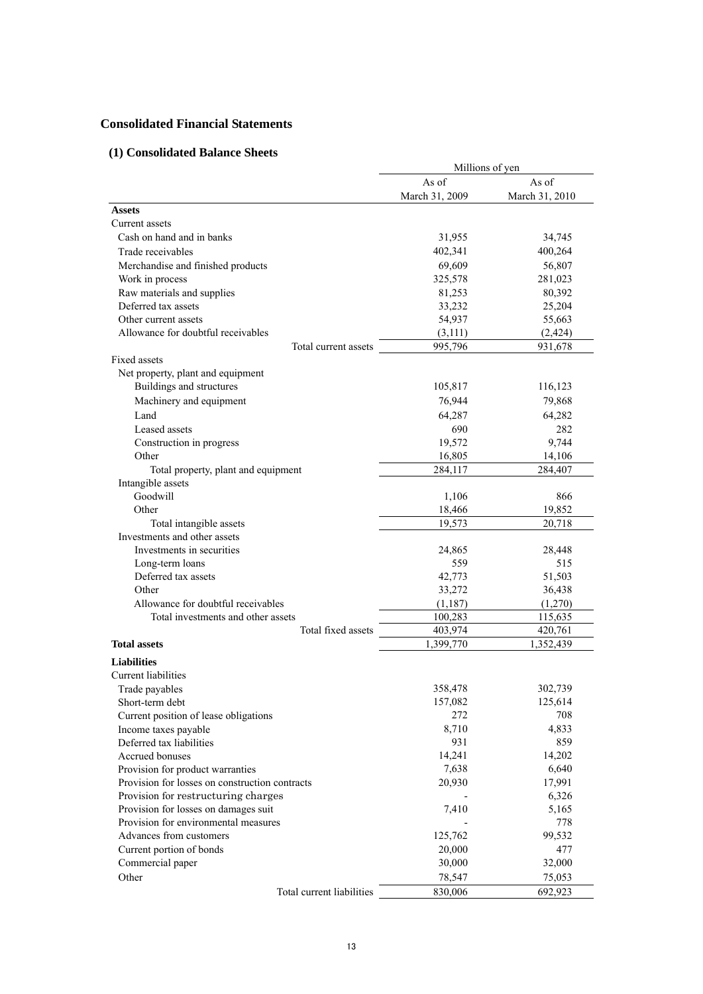# **Consolidated Financial Statements**

# **(1) Consolidated Balance Sheets**

|                                                | Millions of yen |                |  |
|------------------------------------------------|-----------------|----------------|--|
|                                                | As of           | As of          |  |
|                                                | March 31, 2009  | March 31, 2010 |  |
| <b>Assets</b>                                  |                 |                |  |
| Current assets                                 |                 |                |  |
| Cash on hand and in banks                      | 31,955          | 34,745         |  |
| Trade receivables                              | 402,341         | 400,264        |  |
| Merchandise and finished products              | 69,609          | 56,807         |  |
| Work in process                                | 325,578         | 281,023        |  |
| Raw materials and supplies                     | 81,253          | 80,392         |  |
| Deferred tax assets                            | 33,232          | 25,204         |  |
| Other current assets                           | 54,937          | 55,663         |  |
| Allowance for doubtful receivables             | (3,111)         | (2, 424)       |  |
| Total current assets                           | 995,796         | 931,678        |  |
| <b>Fixed assets</b>                            |                 |                |  |
| Net property, plant and equipment              |                 |                |  |
| Buildings and structures                       |                 |                |  |
|                                                | 105,817         | 116,123        |  |
| Machinery and equipment                        | 76,944          | 79,868         |  |
| Land                                           | 64,287          | 64,282         |  |
| Leased assets                                  | 690             | 282            |  |
| Construction in progress                       | 19,572          | 9,744          |  |
| Other                                          | 16,805          | 14,106         |  |
| Total property, plant and equipment            | 284,117         | 284,407        |  |
| Intangible assets                              |                 |                |  |
| Goodwill                                       | 1,106           | 866            |  |
| Other                                          | 18,466          | 19,852         |  |
| Total intangible assets                        | 19,573          | 20,718         |  |
| Investments and other assets                   |                 |                |  |
| Investments in securities                      | 24,865          | 28,448         |  |
| Long-term loans                                | 559             | 515            |  |
| Deferred tax assets                            | 42,773          | 51,503         |  |
| Other                                          | 33,272          | 36,438         |  |
| Allowance for doubtful receivables             | (1,187)         | (1,270)        |  |
| Total investments and other assets             | 100,283         | 115,635        |  |
| Total fixed assets                             | 403,974         | 420,761        |  |
| <b>Total assets</b>                            | 1,399,770       | 1,352,439      |  |
| <b>Liabilities</b>                             |                 |                |  |
| <b>Current</b> liabilities                     |                 |                |  |
| Trade payables                                 | 358,478         | 302,739        |  |
| Short-term debt                                | 157,082         | 125,614        |  |
| Current position of lease obligations          | 272             | 708            |  |
| Income taxes payable                           | 8,710           | 4,833          |  |
| Deferred tax liabilities                       | 931             | 859            |  |
| Accrued bonuses                                | 14,241          | 14,202         |  |
| Provision for product warranties               | 7,638           | 6,640          |  |
| Provision for losses on construction contracts | 20,930          | 17,991         |  |
| Provision for restructuring charges            |                 | 6,326          |  |
| Provision for losses on damages suit           | 7,410           | 5,165          |  |
| Provision for environmental measures           |                 | 778            |  |
| Advances from customers                        | 125,762         | 99,532         |  |
| Current portion of bonds                       | 20,000          | 477            |  |
| Commercial paper                               | 30,000          | 32,000         |  |
|                                                |                 |                |  |
| Other                                          | 78,547          | 75,053         |  |
| Total current liabilities                      | 830,006         | 692,923        |  |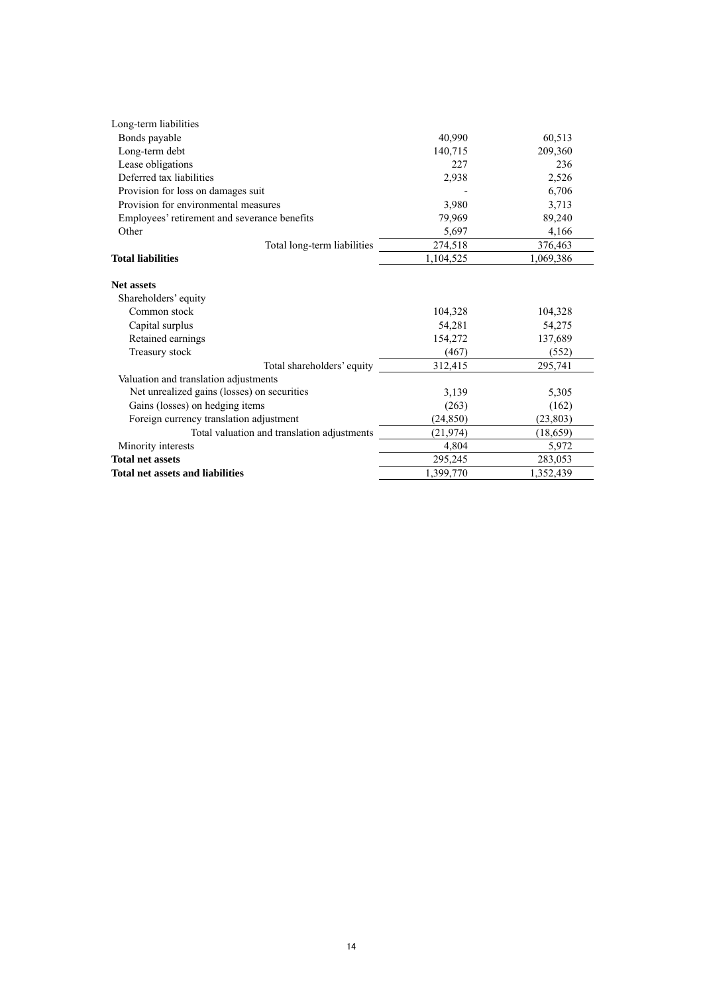| Long-term liabilities                        |           |           |
|----------------------------------------------|-----------|-----------|
| Bonds payable                                | 40,990    | 60,513    |
| Long-term debt                               | 140,715   | 209,360   |
| Lease obligations                            | 227       | 236       |
| Deferred tax liabilities                     | 2,938     | 2,526     |
| Provision for loss on damages suit           |           | 6,706     |
| Provision for environmental measures         | 3,980     | 3,713     |
| Employees' retirement and severance benefits | 79,969    | 89,240    |
| Other                                        | 5,697     | 4,166     |
| Total long-term liabilities                  | 274,518   | 376,463   |
| <b>Total liabilities</b>                     | 1,104,525 | 1,069,386 |
| <b>Net assets</b>                            |           |           |
| Shareholders' equity                         |           |           |
| Common stock                                 | 104,328   | 104,328   |
| Capital surplus                              | 54,281    | 54,275    |
| Retained earnings                            | 154,272   | 137,689   |
| Treasury stock                               | (467)     | (552)     |
| Total shareholders' equity                   | 312,415   | 295,741   |
| Valuation and translation adjustments        |           |           |
| Net unrealized gains (losses) on securities  | 3,139     | 5,305     |
| Gains (losses) on hedging items              | (263)     | (162)     |
| Foreign currency translation adjustment      | (24, 850) | (23, 803) |
| Total valuation and translation adjustments  | (21, 974) | (18, 659) |
| Minority interests                           | 4,804     | 5,972     |
| <b>Total net assets</b>                      | 295,245   | 283,053   |
| <b>Total net assets and liabilities</b>      | 1,399,770 | 1,352,439 |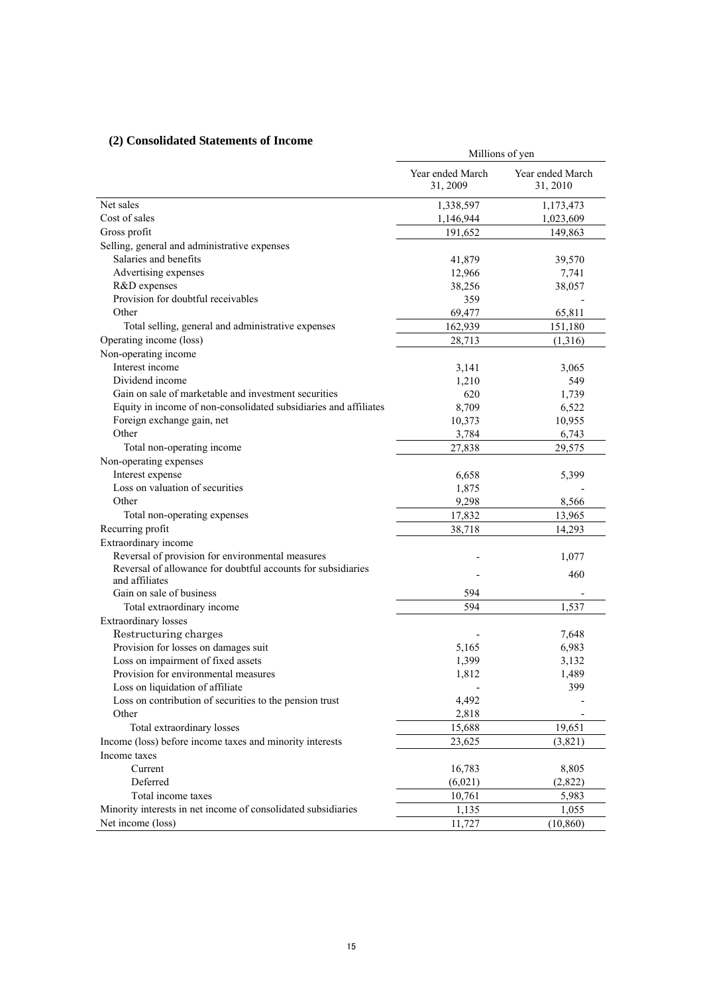# **(2) Consolidated Statements of Income**

| Consonuattu biattinthis of Intonit                                         | Millions of yen              |                              |  |
|----------------------------------------------------------------------------|------------------------------|------------------------------|--|
|                                                                            | Year ended March<br>31, 2009 | Year ended March<br>31, 2010 |  |
| Net sales                                                                  | 1,338,597                    | 1,173,473                    |  |
| Cost of sales                                                              | 1,146,944                    | 1,023,609                    |  |
| Gross profit                                                               | 191,652                      | 149,863                      |  |
| Selling, general and administrative expenses                               |                              |                              |  |
| Salaries and benefits                                                      | 41,879                       | 39,570                       |  |
| Advertising expenses                                                       | 12,966                       | 7,741                        |  |
| R&D expenses                                                               | 38,256                       | 38,057                       |  |
| Provision for doubtful receivables                                         | 359                          |                              |  |
| Other                                                                      | 69,477                       | 65,811                       |  |
| Total selling, general and administrative expenses                         | 162,939                      | 151,180                      |  |
| Operating income (loss)                                                    | 28,713                       | (1,316)                      |  |
| Non-operating income                                                       |                              |                              |  |
| Interest income                                                            | 3,141                        | 3,065                        |  |
| Dividend income                                                            | 1,210                        | 549                          |  |
| Gain on sale of marketable and investment securities                       | 620                          | 1,739                        |  |
| Equity in income of non-consolidated subsidiaries and affiliates           | 8,709                        | 6,522                        |  |
| Foreign exchange gain, net                                                 | 10,373                       | 10,955                       |  |
| Other                                                                      | 3,784                        | 6,743                        |  |
| Total non-operating income                                                 | 27,838                       | 29,575                       |  |
| Non-operating expenses                                                     |                              |                              |  |
| Interest expense                                                           | 6,658                        | 5,399                        |  |
| Loss on valuation of securities                                            | 1,875                        |                              |  |
| Other                                                                      | 9,298                        | 8,566                        |  |
| Total non-operating expenses                                               | 17,832                       | 13,965                       |  |
| Recurring profit                                                           | 38,718                       | 14,293                       |  |
| Extraordinary income                                                       |                              |                              |  |
| Reversal of provision for environmental measures                           |                              | 1,077                        |  |
| Reversal of allowance for doubtful accounts for subsidiaries               |                              | 460                          |  |
| and affiliates                                                             |                              |                              |  |
| Gain on sale of business                                                   | 594                          |                              |  |
| Total extraordinary income                                                 | 594                          | 1,537                        |  |
| Extraordinary losses                                                       |                              |                              |  |
| Restructuring charges                                                      |                              | 7,648                        |  |
| Provision for losses on damages suit<br>Loss on impairment of fixed assets | 5,165                        | 6,983                        |  |
| Provision for environmental measures                                       | 1,399                        | 3,132                        |  |
| Loss on liquidation of affiliate                                           | 1,812                        | 1,489<br>399                 |  |
| Loss on contribution of securities to the pension trust                    | 4,492                        |                              |  |
| Other                                                                      | 2,818                        |                              |  |
| Total extraordinary losses                                                 |                              |                              |  |
| Income (loss) before income taxes and minority interests                   | 15,688                       | 19,651                       |  |
| Income taxes                                                               | 23,625                       | (3,821)                      |  |
|                                                                            |                              |                              |  |
| Current<br>Deferred                                                        | 16,783                       | 8,805                        |  |
| Total income taxes                                                         | (6,021)                      | (2,822)                      |  |
|                                                                            | 10,761                       | 5,983                        |  |
| Minority interests in net income of consolidated subsidiaries              | 1,135                        | 1,055                        |  |
| Net income (loss)                                                          | 11,727                       | (10, 860)                    |  |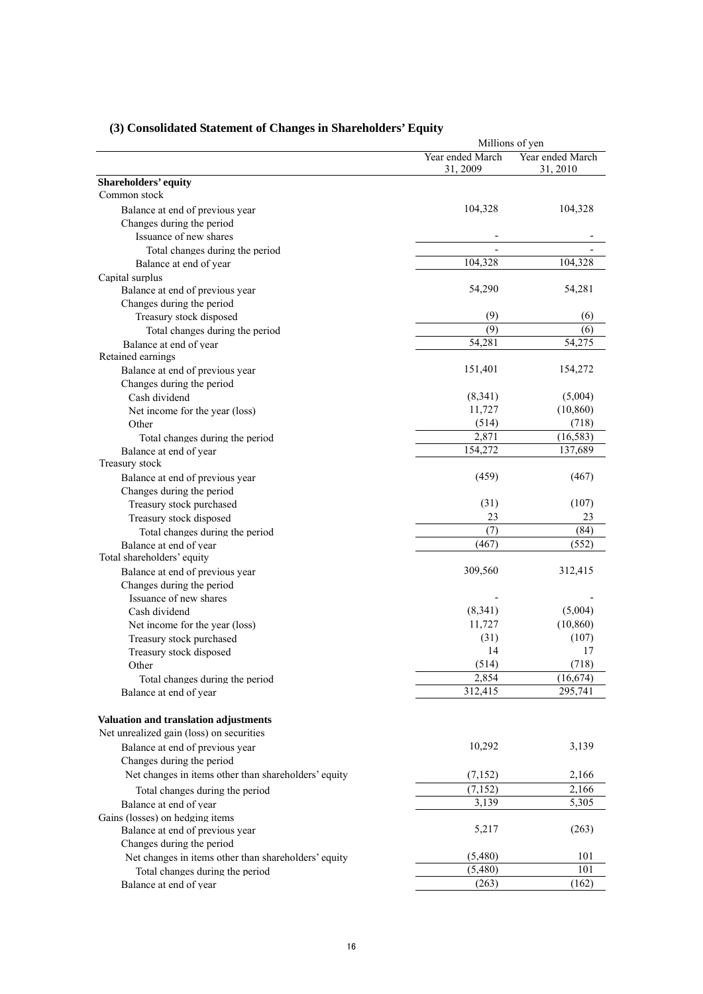|                                                      |                              | Millions of yen              |  |  |
|------------------------------------------------------|------------------------------|------------------------------|--|--|
|                                                      | Year ended March<br>31, 2009 | Year ended March<br>31, 2010 |  |  |
| Shareholders' equity                                 |                              |                              |  |  |
| Common stock                                         |                              |                              |  |  |
| Balance at end of previous year                      | 104,328                      | 104,328                      |  |  |
| Changes during the period                            |                              |                              |  |  |
| Issuance of new shares                               |                              |                              |  |  |
| Total changes during the period                      |                              |                              |  |  |
| Balance at end of year                               | 104,328                      | 104,328                      |  |  |
| Capital surplus                                      |                              |                              |  |  |
| Balance at end of previous year                      | 54,290                       | 54,281                       |  |  |
| Changes during the period                            |                              |                              |  |  |
| Treasury stock disposed                              | (9)                          | (6)                          |  |  |
| Total changes during the period                      | (9)                          | (6)                          |  |  |
| Balance at end of year                               | 54,281                       | 54,275                       |  |  |
| Retained earnings                                    |                              |                              |  |  |
| Balance at end of previous year                      | 151,401                      | 154,272                      |  |  |
| Changes during the period                            |                              |                              |  |  |
| Cash dividend                                        | (8,341)                      | (5,004)                      |  |  |
| Net income for the year (loss)                       | 11,727                       | (10, 860)                    |  |  |
| Other                                                | (514)                        | (718)                        |  |  |
| Total changes during the period                      | 2,871                        | (16, 583)                    |  |  |
| Balance at end of year                               | 154,272                      | 137,689                      |  |  |
| Treasury stock                                       |                              |                              |  |  |
| Balance at end of previous year                      | (459)                        | (467)                        |  |  |
| Changes during the period                            |                              |                              |  |  |
| Treasury stock purchased                             | (31)                         | (107)                        |  |  |
| Treasury stock disposed                              | 23                           | 23                           |  |  |
| Total changes during the period                      | (7)                          | (84)                         |  |  |
| Balance at end of year                               | (467)                        | (552)                        |  |  |
| Total shareholders' equity                           |                              |                              |  |  |
| Balance at end of previous year                      | 309,560                      | 312,415                      |  |  |
| Changes during the period                            |                              |                              |  |  |
| Issuance of new shares                               |                              | (5,004)                      |  |  |
| Cash dividend                                        | (8,341)                      |                              |  |  |
| Net income for the year (loss)                       | 11,727                       | (10, 860)                    |  |  |
| Treasury stock purchased                             | (31)                         | (107)                        |  |  |
| Treasury stock disposed                              | 14                           | 17                           |  |  |
| Other                                                | (514)                        | (718)                        |  |  |
| Total changes during the period                      | 2,854<br>312,415             | (16, 674)<br>295,741         |  |  |
| Balance at end of year                               |                              |                              |  |  |
|                                                      |                              |                              |  |  |
| Valuation and translation adjustments                |                              |                              |  |  |
| Net unrealized gain (loss) on securities             |                              |                              |  |  |
| Balance at end of previous year                      | 10,292                       | 3,139                        |  |  |
| Changes during the period                            |                              |                              |  |  |
| Net changes in items other than shareholders' equity | (7,152)                      | 2,166                        |  |  |
| Total changes during the period                      | (7, 152)                     | 2,166                        |  |  |
| Balance at end of year                               | 3,139                        | 5,305                        |  |  |
| Gains (losses) on hedging items                      |                              |                              |  |  |
| Balance at end of previous year                      | 5,217                        | (263)                        |  |  |
| Changes during the period                            |                              |                              |  |  |
| Net changes in items other than shareholders' equity | (5,480)                      | 101                          |  |  |
| Total changes during the period                      | (5,480)                      | 101                          |  |  |
| Balance at end of year                               | (263)                        | (162)                        |  |  |

# **(3) Consolidated Statement of Changes in Shareholders' Equity**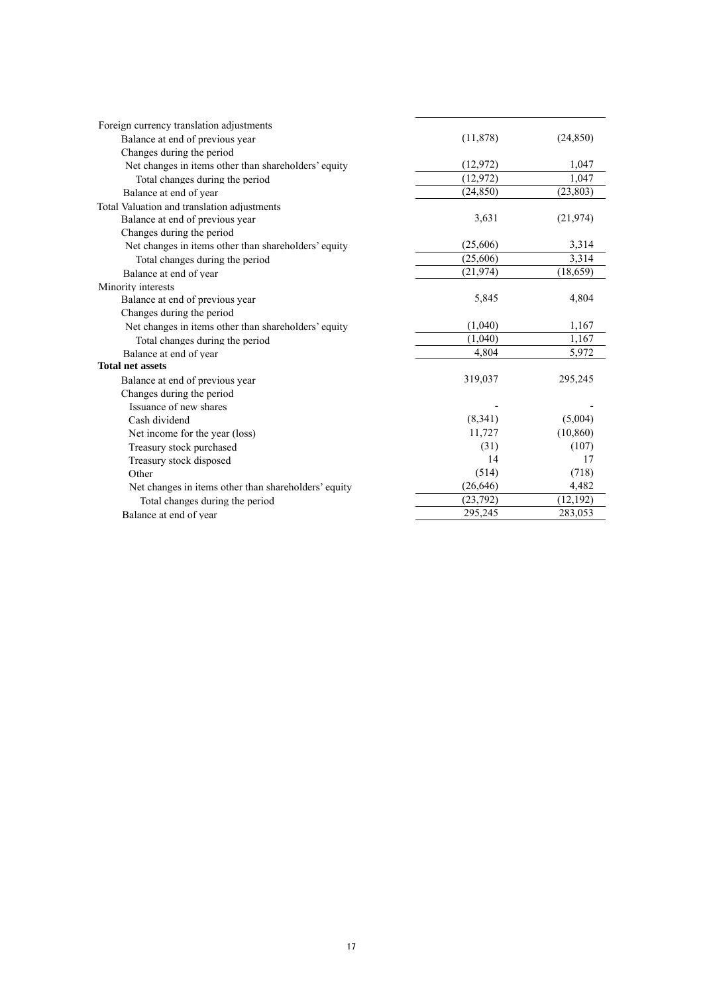| Foreign currency translation adjustments             |           |           |
|------------------------------------------------------|-----------|-----------|
| Balance at end of previous year                      | (11, 878) | (24, 850) |
| Changes during the period                            |           |           |
| Net changes in items other than shareholders' equity | (12, 972) | 1,047     |
| Total changes during the period                      | (12, 972) | 1,047     |
| Balance at end of year                               | (24, 850) | (23, 803) |
| Total Valuation and translation adjustments          |           |           |
| Balance at end of previous year                      | 3,631     | (21, 974) |
| Changes during the period                            |           |           |
| Net changes in items other than shareholders' equity | (25,606)  | 3,314     |
| Total changes during the period                      | (25,606)  | 3,314     |
| Balance at end of year                               | (21, 974) | (18, 659) |
| Minority interests                                   |           |           |
| Balance at end of previous year                      | 5,845     | 4,804     |
| Changes during the period                            |           |           |
| Net changes in items other than shareholders' equity | (1,040)   | 1,167     |
| Total changes during the period                      | (1,040)   | 1,167     |
| Balance at end of year                               | 4,804     | 5,972     |
| <b>Total net assets</b>                              |           |           |
| Balance at end of previous year                      | 319,037   | 295,245   |
| Changes during the period                            |           |           |
| Issuance of new shares                               |           |           |
| Cash dividend                                        | (8,341)   | (5,004)   |
| Net income for the year (loss)                       | 11,727    | (10, 860) |
| Treasury stock purchased                             | (31)      | (107)     |
| Treasury stock disposed                              | 14        | 17        |
| Other                                                | (514)     | (718)     |
| Net changes in items other than shareholders' equity | (26, 646) | 4,482     |
| Total changes during the period                      | (23, 792) | (12, 192) |
| Balance at end of year                               | 295,245   | 283,053   |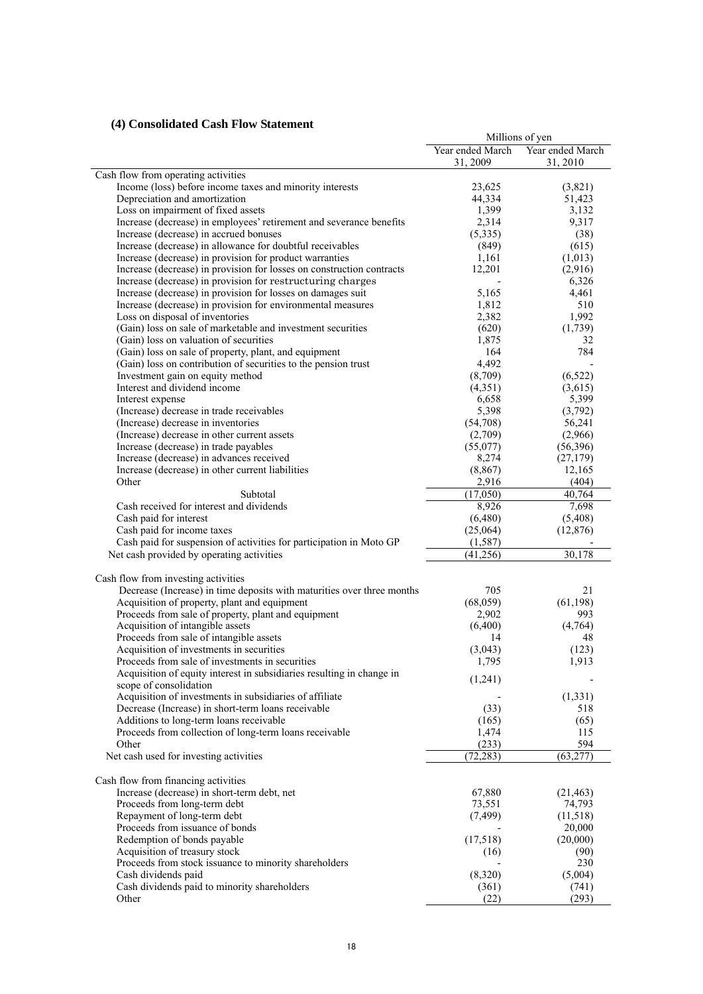# **(4) Consolidated Cash Flow Statement**

|                                                                        | Millions of yen  |                  |  |
|------------------------------------------------------------------------|------------------|------------------|--|
|                                                                        | Year ended March | Year ended March |  |
|                                                                        | 31, 2009         | 31, 2010         |  |
| Cash flow from operating activities                                    |                  |                  |  |
| Income (loss) before income taxes and minority interests               | 23,625           | (3,821)          |  |
| Depreciation and amortization                                          | 44,334           | 51,423           |  |
| Loss on impairment of fixed assets                                     | 1,399            | 3,132            |  |
| Increase (decrease) in employees' retirement and severance benefits    | 2,314            | 9,317            |  |
| Increase (decrease) in accrued bonuses                                 | (5, 335)         | (38)             |  |
| Increase (decrease) in allowance for doubtful receivables              | (849)            | (615)            |  |
| Increase (decrease) in provision for product warranties                | 1,161            | (1,013)          |  |
| Increase (decrease) in provision for losses on construction contracts  | 12,201           | (2,916)          |  |
| Increase (decrease) in provision for restructuring charges             |                  | 6,326            |  |
| Increase (decrease) in provision for losses on damages suit            | 5,165            | 4,461            |  |
| Increase (decrease) in provision for environmental measures            | 1,812            | 510              |  |
| Loss on disposal of inventories                                        | 2,382            | 1,992            |  |
| (Gain) loss on sale of marketable and investment securities            | (620)            | (1,739)          |  |
| (Gain) loss on valuation of securities                                 | 1,875            | 32               |  |
| (Gain) loss on sale of property, plant, and equipment                  | 164              | 784              |  |
| (Gain) loss on contribution of securities to the pension trust         | 4,492            |                  |  |
| Investment gain on equity method                                       | (8,709)          | (6, 522)         |  |
| Interest and dividend income                                           | (4,351)          | (3,615)          |  |
| Interest expense                                                       | 6,658            | 5,399            |  |
| (Increase) decrease in trade receivables                               |                  |                  |  |
|                                                                        | 5,398            | (3,792)          |  |
| (Increase) decrease in inventories                                     | (54,708)         | 56,241           |  |
| (Increase) decrease in other current assets                            | (2,709)          | (2,966)          |  |
| Increase (decrease) in trade payables                                  | (55,077)         | (56, 396)        |  |
| Increase (decrease) in advances received                               | 8,274            | (27, 179)        |  |
| Increase (decrease) in other current liabilities                       | (8, 867)         | 12,165           |  |
| Other                                                                  | 2,916            | (404)            |  |
| Subtotal                                                               | (17,050)         | 40,764           |  |
| Cash received for interest and dividends                               | 8,926            | 7,698            |  |
| Cash paid for interest                                                 | (6,480)          | (5,408)          |  |
| Cash paid for income taxes                                             | (25,064)         | (12, 876)        |  |
| Cash paid for suspension of activities for participation in Moto GP    | (1, 587)         |                  |  |
| Net cash provided by operating activities                              | (41,256)         | 30,178           |  |
|                                                                        |                  |                  |  |
| Cash flow from investing activities                                    |                  |                  |  |
| Decrease (Increase) in time deposits with maturities over three months | 705              | 21               |  |
| Acquisition of property, plant and equipment                           | (68,059)         | (61, 198)        |  |
| Proceeds from sale of property, plant and equipment                    | 2,902            | 993              |  |
| Acquisition of intangible assets                                       | (6,400)          | (4,764)          |  |
| Proceeds from sale of intangible assets                                | 14               | 48               |  |
| Acquisition of investments in securities                               | (3,043)          | (123)            |  |
| Proceeds from sale of investments in securities                        | 1,795            | 1,913            |  |
| Acquisition of equity interest in subsidiaries resulting in change in  | (1,241)          |                  |  |
| scope of consolidation                                                 |                  |                  |  |
| Acquisition of investments in subsidiaries of affiliate                |                  | (1, 331)         |  |
| Decrease (Increase) in short-term loans receivable                     | (33)             | 518              |  |
| Additions to long-term loans receivable                                | (165)            | (65)             |  |
| Proceeds from collection of long-term loans receivable                 | 1,474            | 115              |  |
| Other                                                                  | (233)            | 594              |  |
| Net cash used for investing activities                                 | (72, 283)        | (63, 277)        |  |
|                                                                        |                  |                  |  |
| Cash flow from financing activities                                    |                  |                  |  |
| Increase (decrease) in short-term debt, net                            | 67,880           | (21, 463)        |  |
| Proceeds from long-term debt                                           | 73,551           | 74,793           |  |
| Repayment of long-term debt                                            | (7, 499)         | (11,518)         |  |
| Proceeds from issuance of bonds                                        |                  | 20,000           |  |
| Redemption of bonds payable                                            | (17,518)         | (20,000)         |  |
| Acquisition of treasury stock                                          | (16)             | (90)             |  |
| Proceeds from stock issuance to minority shareholders                  |                  | 230              |  |
| Cash dividends paid                                                    | (8,320)          | (5,004)          |  |
| Cash dividends paid to minority shareholders                           |                  |                  |  |
| Other                                                                  | (361)<br>(22)    | (741)<br>(293)   |  |
|                                                                        |                  |                  |  |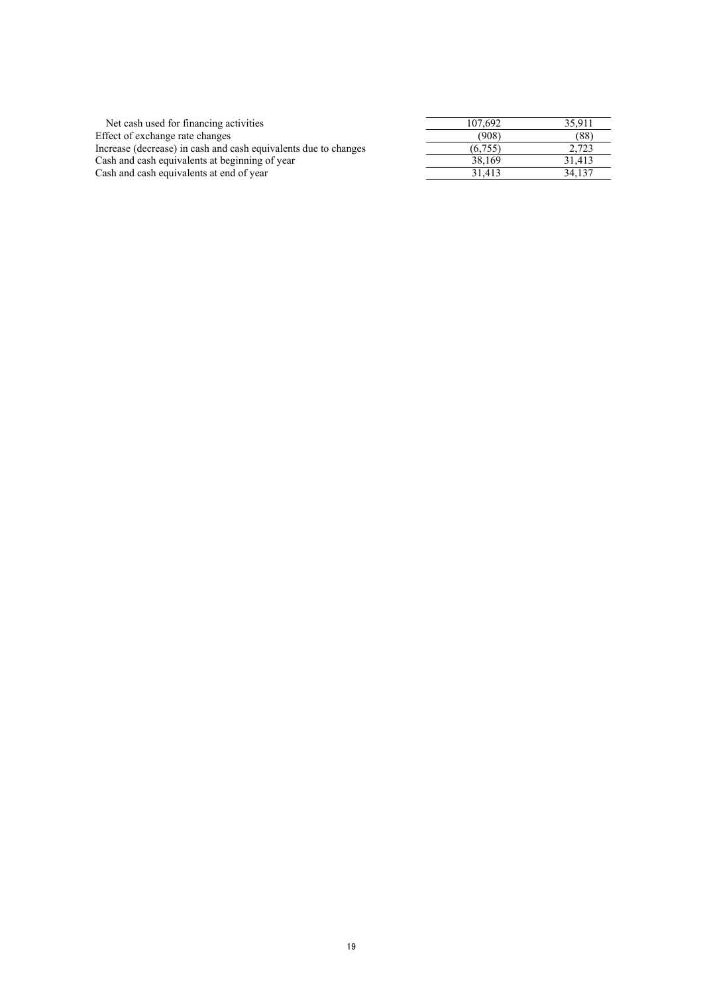| Net cash used for financing activities                          | 107.692 | 35.911 |
|-----------------------------------------------------------------|---------|--------|
| Effect of exchange rate changes                                 | (908)   | (88)   |
| Increase (decrease) in cash and cash equivalents due to changes | (6.755) | 2.723  |
| Cash and cash equivalents at beginning of year                  | 38.169  | 31.413 |
| Cash and cash equivalents at end of year                        | 31.413  | 34.137 |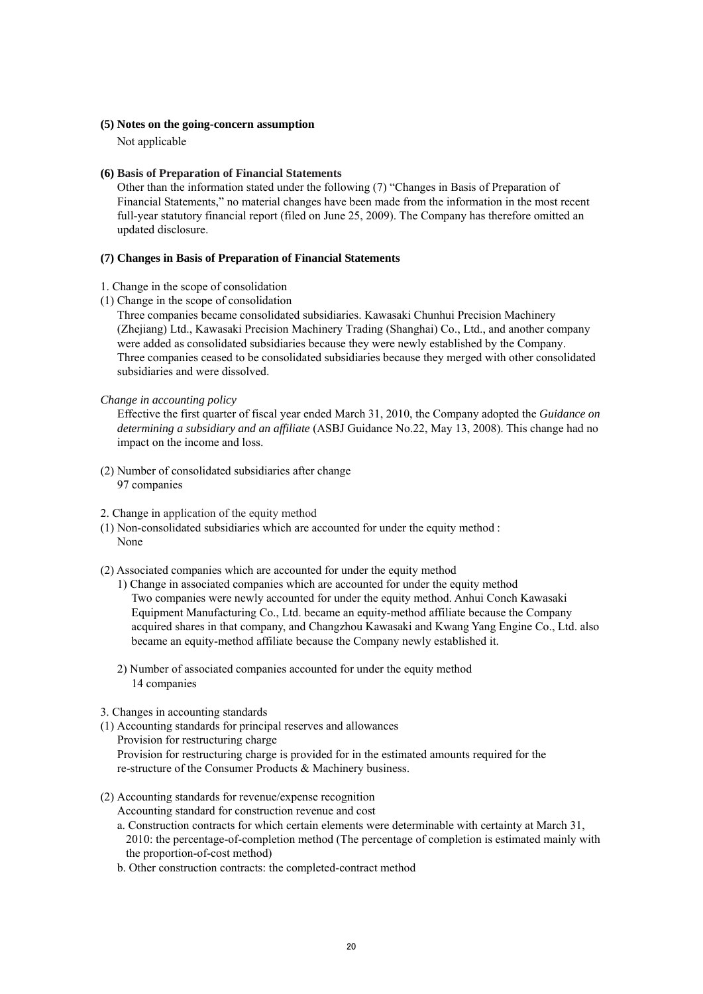#### **(5) Notes on the going-concern assumption**

Not applicable

### **(6) Basis of Preparation of Financial Statements**

Other than the information stated under the following (7) "Changes in Basis of Preparation of Financial Statements," no material changes have been made from the information in the most recent full-year statutory financial report (filed on June 25, 2009). The Company has therefore omitted an updated disclosure.

#### **(7) Changes in Basis of Preparation of Financial Statements**

- 1. Change in the scope of consolidation
- (1) Change in the scope of consolidation

Three companies became consolidated subsidiaries. Kawasaki Chunhui Precision Machinery (Zhejiang) Ltd., Kawasaki Precision Machinery Trading (Shanghai) Co., Ltd., and another company were added as consolidated subsidiaries because they were newly established by the Company. Three companies ceased to be consolidated subsidiaries because they merged with other consolidated subsidiaries and were dissolved.

#### *Change in accounting policy*

Effective the first quarter of fiscal year ended March 31, 2010, the Company adopted the *Guidance on determining a subsidiary and an affiliate* (ASBJ Guidance No.22, May 13, 2008). This change had no impact on the income and loss.

- (2) Number of consolidated subsidiaries after change 97 companies
- 2. Change in application of the equity method
- (1) Non-consolidated subsidiaries which are accounted for under the equity method : None
- (2) Associated companies which are accounted for under the equity method
	- 1) Change in associated companies which are accounted for under the equity method Two companies were newly accounted for under the equity method. Anhui Conch Kawasaki Equipment Manufacturing Co., Ltd. became an equity-method affiliate because the Company acquired shares in that company, and Changzhou Kawasaki and Kwang Yang Engine Co., Ltd. also became an equity-method affiliate because the Company newly established it.
	- 2) Number of associated companies accounted for under the equity method 14 companies
- 3. Changes in accounting standards
- (1) Accounting standards for principal reserves and allowances Provision for restructuring charge Provision for restructuring charge is provided for in the estimated amounts required for the re-structure of the Consumer Products & Machinery business.
- (2) Accounting standards for revenue/expense recognition
	- Accounting standard for construction revenue and cost
	- a. Construction contracts for which certain elements were determinable with certainty at March 31, 2010: the percentage-of-completion method (The percentage of completion is estimated mainly with the proportion-of-cost method)
	- b. Other construction contracts: the completed-contract method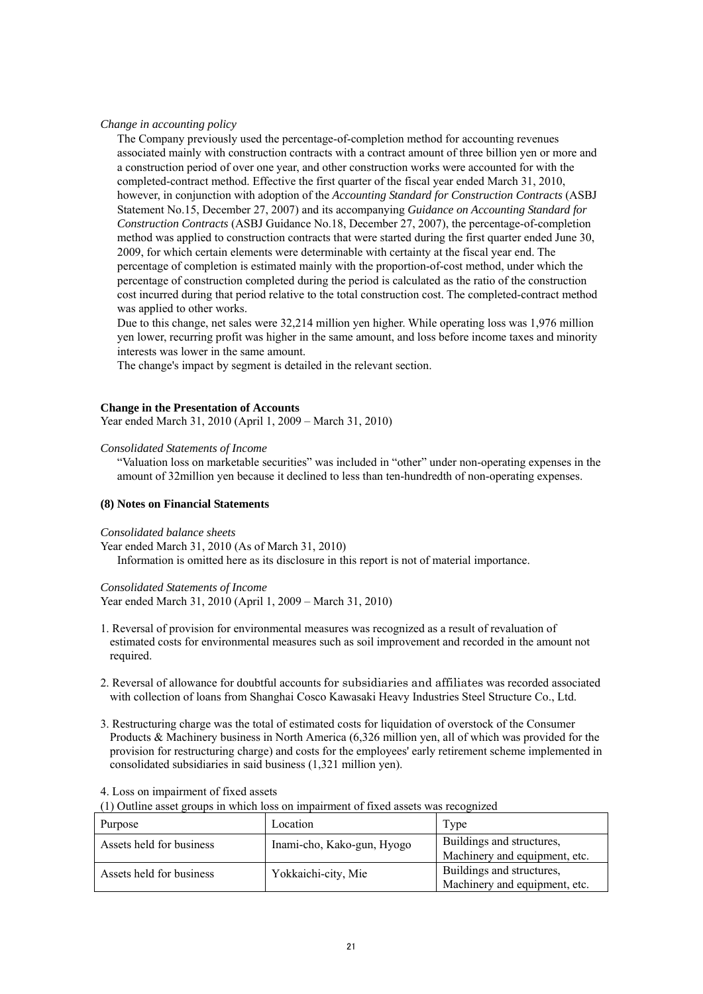*Change in accounting policy* 

The Company previously used the percentage-of-completion method for accounting revenues associated mainly with construction contracts with a contract amount of three billion yen or more and a construction period of over one year, and other construction works were accounted for with the completed-contract method. Effective the first quarter of the fiscal year ended March 31, 2010, however, in conjunction with adoption of the *Accounting Standard for Construction Contracts* (ASBJ Statement No.15, December 27, 2007) and its accompanying *Guidance on Accounting Standard for Construction Contracts* (ASBJ Guidance No.18, December 27, 2007), the percentage-of-completion method was applied to construction contracts that were started during the first quarter ended June 30, 2009, for which certain elements were determinable with certainty at the fiscal year end. The percentage of completion is estimated mainly with the proportion-of-cost method, under which the percentage of construction completed during the period is calculated as the ratio of the construction cost incurred during that period relative to the total construction cost. The completed-contract method was applied to other works.

Due to this change, net sales were 32,214 million yen higher. While operating loss was 1,976 million yen lower, recurring profit was higher in the same amount, and loss before income taxes and minority interests was lower in the same amount.

The change's impact by segment is detailed in the relevant section.

#### **Change in the Presentation of Accounts**

Year ended March 31, 2010 (April 1, 2009 – March 31, 2010)

#### *Consolidated Statements of Income*

"Valuation loss on marketable securities" was included in "other" under non-operating expenses in the amount of 32million yen because it declined to less than ten-hundredth of non-operating expenses.

#### **(8) Notes on Financial Statements**

#### *Consolidated balance sheets*

Year ended March 31, 2010 (As of March 31, 2010) Information is omitted here as its disclosure in this report is not of material importance.

*Consolidated Statements of Income* 

Year ended March 31, 2010 (April 1, 2009 – March 31, 2010)

- 1. Reversal of provision for environmental measures was recognized as a result of revaluation of estimated costs for environmental measures such as soil improvement and recorded in the amount not required.
- 2. Reversal of allowance for doubtful accounts for subsidiaries and affiliates was recorded associated with collection of loans from Shanghai Cosco Kawasaki Heavy Industries Steel Structure Co., Ltd.
- 3. Restructuring charge was the total of estimated costs for liquidation of overstock of the Consumer Products & Machinery business in North America (6,326 million yen, all of which was provided for the provision for restructuring charge) and costs for the employees' early retirement scheme implemented in consolidated subsidiaries in said business (1,321 million yen).

4. Loss on impairment of fixed assets

(1) Outline asset groups in which loss on impairment of fixed assets was recognized

| Purpose                  | Location                   | Type                          |
|--------------------------|----------------------------|-------------------------------|
| Assets held for business | Inami-cho, Kako-gun, Hyogo | Buildings and structures,     |
|                          |                            | Machinery and equipment, etc. |
| Assets held for business | Yokkaichi-city, Mie        | Buildings and structures,     |
|                          |                            | Machinery and equipment, etc. |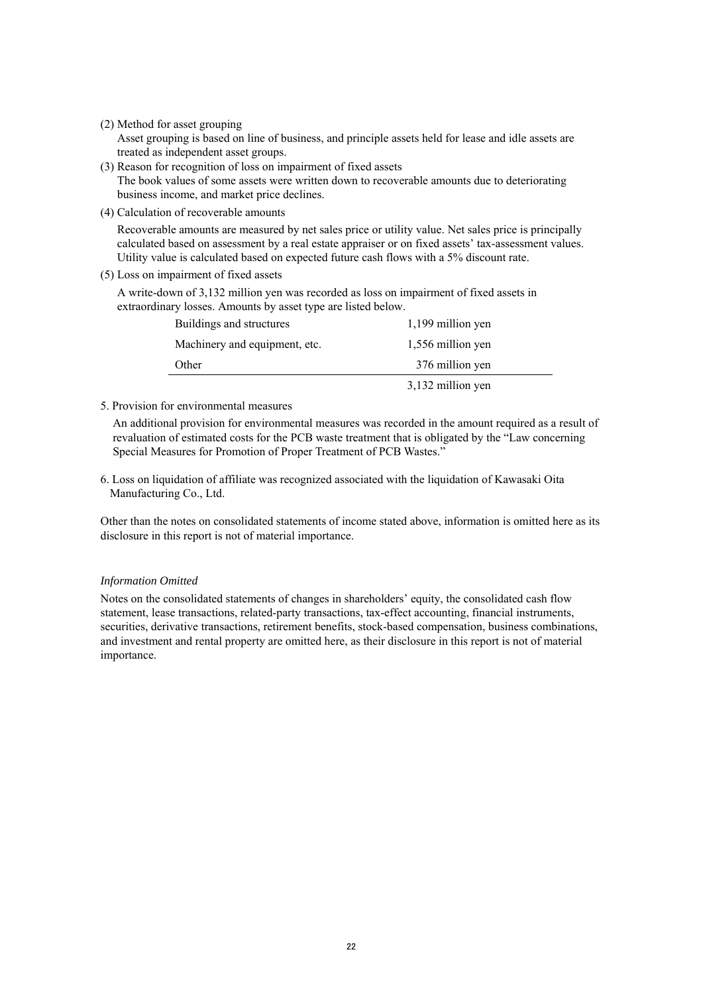(2) Method for asset grouping

Asset grouping is based on line of business, and principle assets held for lease and idle assets are treated as independent asset groups.

- (3) Reason for recognition of loss on impairment of fixed assets The book values of some assets were written down to recoverable amounts due to deteriorating business income, and market price declines.
- (4) Calculation of recoverable amounts

Recoverable amounts are measured by net sales price or utility value. Net sales price is principally calculated based on assessment by a real estate appraiser or on fixed assets' tax-assessment values. Utility value is calculated based on expected future cash flows with a 5% discount rate.

(5) Loss on impairment of fixed assets

A write-down of 3,132 million yen was recorded as loss on impairment of fixed assets in extraordinary losses. Amounts by asset type are listed below.

| Buildings and structures      | 1,199 million yen |
|-------------------------------|-------------------|
| Machinery and equipment, etc. | 1,556 million yen |
| Other                         | 376 million yen   |
|                               | 3,132 million yen |

5. Provision for environmental measures

An additional provision for environmental measures was recorded in the amount required as a result of revaluation of estimated costs for the PCB waste treatment that is obligated by the "Law concerning Special Measures for Promotion of Proper Treatment of PCB Wastes."

6. Loss on liquidation of affiliate was recognized associated with the liquidation of Kawasaki Oita Manufacturing Co., Ltd.

Other than the notes on consolidated statements of income stated above, information is omitted here as its disclosure in this report is not of material importance.

# *Information Omitted*

Notes on the consolidated statements of changes in shareholders' equity, the consolidated cash flow statement, lease transactions, related-party transactions, tax-effect accounting, financial instruments, securities, derivative transactions, retirement benefits, stock-based compensation, business combinations, and investment and rental property are omitted here, as their disclosure in this report is not of material importance.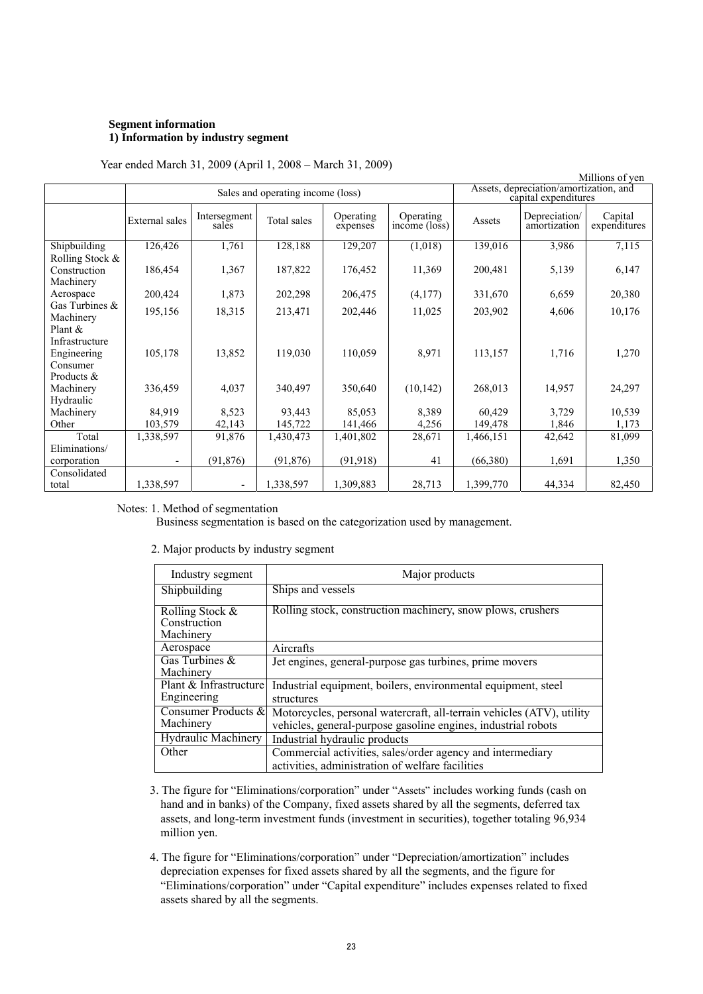### **Segment information 1) Information by industry segment**

|                                                                       | Millions of yen                   |                          |                   |                       |                                                                |                   |                               |                         |
|-----------------------------------------------------------------------|-----------------------------------|--------------------------|-------------------|-----------------------|----------------------------------------------------------------|-------------------|-------------------------------|-------------------------|
|                                                                       | Sales and operating income (loss) |                          |                   |                       | Assets, depreciation/amortization, and<br>capital expenditures |                   |                               |                         |
|                                                                       | External sales                    | Intersegment<br>sales    | Total sales       | Operating<br>expenses | Operating<br>$inc\hat{o}$ me ( $\hat{loss}$ )                  | Assets            | Depreciation/<br>amortization | Capital<br>expenditures |
| Shipbuilding                                                          | 126,426                           | 1,761                    | 128,188           | 129,207               | (1,018)                                                        | 139,016           | 3,986                         | 7,115                   |
| Rolling Stock &<br>Construction<br>Machinery                          | 186,454                           | 1,367                    | 187,822           | 176,452               | 11,369                                                         | 200,481           | 5,139                         | 6,147                   |
| Aerospace                                                             | 200,424                           | 1,873                    | 202,298           | 206,475               | (4,177)                                                        | 331,670           | 6,659                         | 20,380                  |
| Gas Turbines $\&$<br>Machinery                                        | 195,156                           | 18,315                   | 213,471           | 202,446               | 11,025                                                         | 203,902           | 4,606                         | 10,176                  |
| Plant $\&$<br>Infrastructure<br>Engineering<br>Consumer<br>Products & | 105,178                           | 13,852                   | 119,030           | 110,059               | 8,971                                                          | 113,157           | 1,716                         | 1,270                   |
| Machinery                                                             | 336,459                           | 4,037                    | 340,497           | 350,640               | (10, 142)                                                      | 268,013           | 14,957                        | 24,297                  |
| Hydraulic<br>Machinery<br>Other                                       | 84,919<br>103,579                 | 8,523<br>42,143          | 93,443<br>145,722 | 85,053<br>141,466     | 8,389<br>4,256                                                 | 60,429<br>149,478 | 3,729<br>1,846                | 10,539<br>1,173         |
| Total                                                                 | 1,338,597                         | 91,876                   | 1,430,473         | 1,401,802             | 28,671                                                         | 1,466,151         | 42,642                        | 81,099                  |
| Eliminations/                                                         |                                   |                          |                   |                       |                                                                |                   |                               |                         |
| corporation                                                           | $\overline{\phantom{a}}$          | (91, 876)                | (91, 876)         | (91, 918)             | 41                                                             | (66,380)          | 1,691                         | 1,350                   |
| Consolidated<br>total                                                 | 1,338,597                         | $\overline{\phantom{a}}$ | 1,338,597         | 1,309,883             | 28,713                                                         | 1,399,770         | 44,334                        | 82,450                  |

### Notes: 1. Method of segmentation

Business segmentation is based on the categorization used by management.

2. Major products by industry segment

| Industry segment                                | Major products                                                                                                                         |
|-------------------------------------------------|----------------------------------------------------------------------------------------------------------------------------------------|
| Shipbuilding                                    | Ships and vessels                                                                                                                      |
| Rolling Stock $\&$<br>Construction<br>Machinery | Rolling stock, construction machinery, snow plows, crushers                                                                            |
| Aerospace                                       | Aircrafts                                                                                                                              |
| Gas Turbines $\&$<br>Machinery                  | Jet engines, general-purpose gas turbines, prime movers                                                                                |
| Plant & Infrastructure<br>Engineering           | Industrial equipment, boilers, environmental equipment, steel<br>structures                                                            |
| Consumer Products &<br>Machinery                | Motorcycles, personal watercraft, all-terrain vehicles (ATV), utility<br>vehicles, general-purpose gasoline engines, industrial robots |
| <b>Hydraulic Machinery</b>                      | Industrial hydraulic products                                                                                                          |
| Other                                           | Commercial activities, sales/order agency and intermediary<br>activities, administration of welfare facilities                         |

- 3. The figure for "Eliminations/corporation" under "Assets" includes working funds (cash on hand and in banks) of the Company, fixed assets shared by all the segments, deferred tax assets, and long-term investment funds (investment in securities), together totaling 96,934 million yen.
- 4. The figure for "Eliminations/corporation" under "Depreciation/amortization" includes depreciation expenses for fixed assets shared by all the segments, and the figure for "Eliminations/corporation" under "Capital expenditure" includes expenses related to fixed assets shared by all the segments.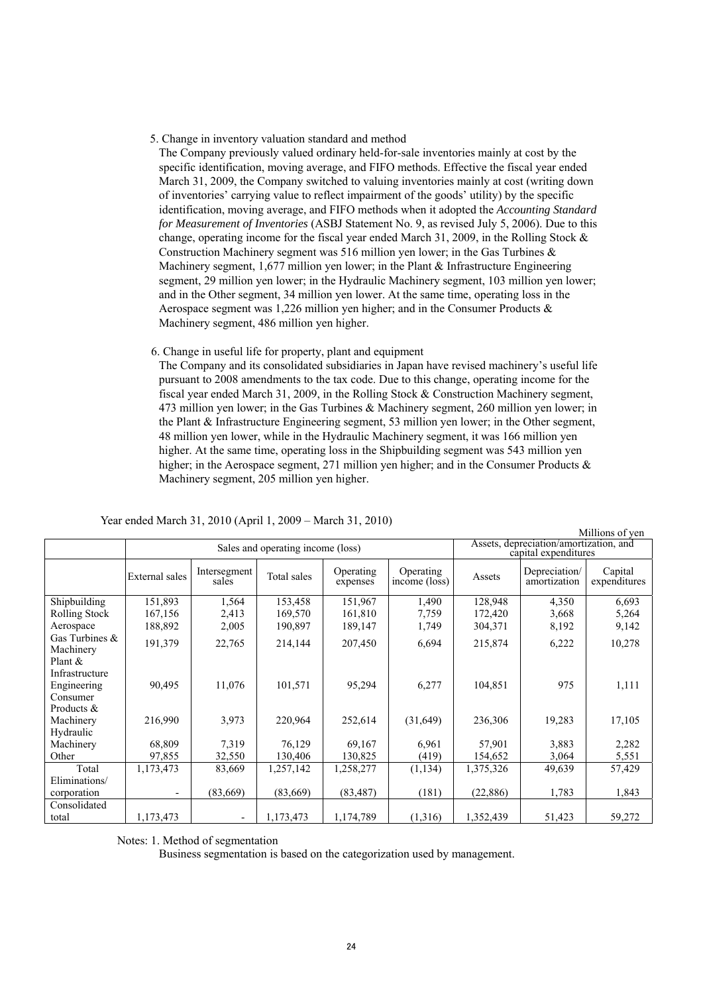5. Change in inventory valuation standard and method

The Company previously valued ordinary held-for-sale inventories mainly at cost by the specific identification, moving average, and FIFO methods. Effective the fiscal year ended March 31, 2009, the Company switched to valuing inventories mainly at cost (writing down of inventories' carrying value to reflect impairment of the goods' utility) by the specific identification, moving average, and FIFO methods when it adopted the *Accounting Standard for Measurement of Inventories* (ASBJ Statement No. 9, as revised July 5, 2006). Due to this change, operating income for the fiscal year ended March 31, 2009, in the Rolling Stock & Construction Machinery segment was 516 million yen lower; in the Gas Turbines & Machinery segment, 1,677 million yen lower; in the Plant & Infrastructure Engineering segment, 29 million yen lower; in the Hydraulic Machinery segment, 103 million yen lower; and in the Other segment, 34 million yen lower. At the same time, operating loss in the Aerospace segment was 1.226 million ven higher; and in the Consumer Products  $\&$ Machinery segment, 486 million yen higher.

6. Change in useful life for property, plant and equipment

The Company and its consolidated subsidiaries in Japan have revised machinery's useful life pursuant to 2008 amendments to the tax code. Due to this change, operating income for the fiscal year ended March 31, 2009, in the Rolling Stock & Construction Machinery segment, 473 million yen lower; in the Gas Turbines & Machinery segment, 260 million yen lower; in the Plant & Infrastructure Engineering segment, 53 million yen lower; in the Other segment, 48 million yen lower, while in the Hydraulic Machinery segment, it was 166 million yen higher. At the same time, operating loss in the Shipbuilding segment was 543 million yen higher; in the Aerospace segment, 271 million yen higher; and in the Consumer Products  $\&$ Machinery segment, 205 million yen higher.

|                                |                |                                   |             |                       |                            |                                                                |                               | Millions of yen         |
|--------------------------------|----------------|-----------------------------------|-------------|-----------------------|----------------------------|----------------------------------------------------------------|-------------------------------|-------------------------|
|                                |                | Sales and operating income (loss) |             |                       |                            | Assets, depreciation/amortization, and<br>capital expenditures |                               |                         |
|                                | External sales | Intersegment<br>sales             | Total sales | Operating<br>expenses | Operating<br>income (loss) | Assets                                                         | Depreciation/<br>amortization | Capital<br>expenditures |
| Shipbuilding                   | 151,893        | 1,564                             | 153,458     | 151,967               | 1,490                      | 128,948                                                        | 4,350                         | 6,693                   |
| Rolling Stock                  | 167,156        | 2,413                             | 169,570     | 161,810               | 7,759                      | 172,420                                                        | 3,668                         | 5,264                   |
| Aerospace                      | 188,892        | 2,005                             | 190,897     | 189,147               | 1,749                      | 304,371                                                        | 8,192                         | 9,142                   |
| Gas Turbines $\&$<br>Machinery | 191,379        | 22,765                            | 214,144     | 207,450               | 6,694                      | 215,874                                                        | 6,222                         | 10,278                  |
| Plant $&$                      |                |                                   |             |                       |                            |                                                                |                               |                         |
| Infrastructure                 |                |                                   |             |                       |                            |                                                                |                               |                         |
| Engineering                    | 90,495         | 11,076                            | 101,571     | 95,294                | 6,277                      | 104,851                                                        | 975                           | 1,111                   |
| Consumer                       |                |                                   |             |                       |                            |                                                                |                               |                         |
| Products &                     |                |                                   |             |                       |                            |                                                                |                               |                         |
| Machinery                      | 216,990        | 3,973                             | 220,964     | 252,614               | (31,649)                   | 236,306                                                        | 19,283                        | 17,105                  |
| Hydraulic                      |                |                                   |             |                       |                            |                                                                |                               |                         |
| Machinery                      | 68,809         | 7.319                             | 76,129      | 69,167                | 6,961                      | 57,901                                                         | 3,883                         | 2,282                   |
| Other                          | 97,855         | 32,550                            | 130,406     | 130,825               | (419)                      | 154,652                                                        | 3,064                         | 5,551                   |
| Total                          | 1,173,473      | 83,669                            | 1,257,142   | 1,258,277             | (1, 134)                   | 1,375,326                                                      | 49,639                        | 57,429                  |
| Eliminations/                  |                |                                   |             |                       |                            |                                                                |                               |                         |
| corporation                    |                | (83,669)                          | (83,669)    | (83, 487)             | (181)                      | (22, 886)                                                      | 1,783                         | 1,843                   |
| Consolidated                   |                |                                   |             |                       |                            |                                                                |                               |                         |
| total                          | 1,173,473      | $\overline{\phantom{a}}$          | 1,173,473   | 1,174,789             | (1,316)                    | 1,352,439                                                      | 51,423                        | 59,272                  |

Year ended March 31, 2010 (April 1, 2009 – March 31, 2010)

Notes: 1. Method of segmentation

Business segmentation is based on the categorization used by management.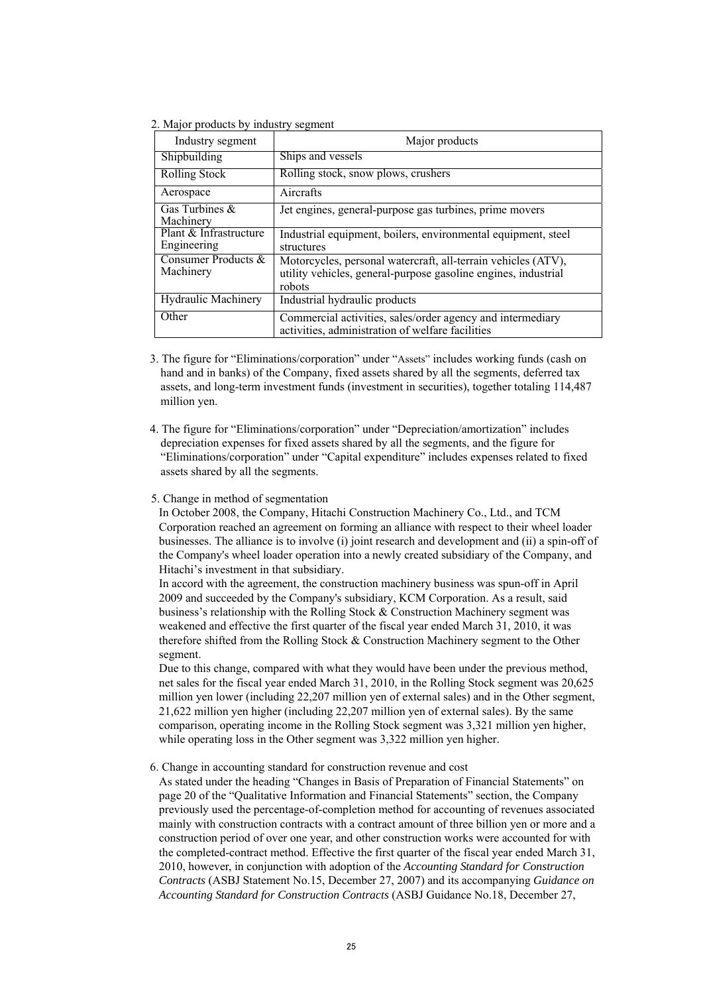2. Major products by industry segment

| Industry segment                      | Major products                                                                                                                            |
|---------------------------------------|-------------------------------------------------------------------------------------------------------------------------------------------|
| Shipbuilding                          | Ships and vessels                                                                                                                         |
| Rolling Stock                         | Rolling stock, snow plows, crushers                                                                                                       |
| Aerospace                             | Aircrafts                                                                                                                                 |
| Gas Turbines &<br>Machinery           | Jet engines, general-purpose gas turbines, prime movers                                                                                   |
| Plant & Infrastructure<br>Engineering | Industrial equipment, boilers, environmental equipment, steel<br>structures                                                               |
| Consumer Products &<br>Machinery      | Motorcycles, personal watercraft, all-terrain vehicles (ATV),<br>utility vehicles, general-purpose gasoline engines, industrial<br>robots |
| <b>Hydraulic Machinery</b>            | Industrial hydraulic products                                                                                                             |
| Other                                 | Commercial activities, sales/order agency and intermediary<br>activities, administration of welfare facilities                            |

- 3. The figure for "Eliminations/corporation" under "Assets" includes working funds (cash on hand and in banks) of the Company, fixed assets shared by all the segments, deferred tax assets, and long-term investment funds (investment in securities), together totaling 114,487 million yen.
- 4. The figure for "Eliminations/corporation" under "Depreciation/amortization" includes depreciation expenses for fixed assets shared by all the segments, and the figure for "Eliminations/corporation" under "Capital expenditure" includes expenses related to fixed assets shared by all the segments.

#### 5. Change in method of segmentation

In October 2008, the Company, Hitachi Construction Machinery Co., Ltd., and TCM Corporation reached an agreement on forming an alliance with respect to their wheel loader businesses. The alliance is to involve (i) joint research and development and (ii) a spin-off of the Company's wheel loader operation into a newly created subsidiary of the Company, and Hitachi's investment in that subsidiary.

In accord with the agreement, the construction machinery business was spun-off in April 2009 and succeeded by the Company's subsidiary, KCM Corporation. As a result, said business's relationship with the Rolling Stock & Construction Machinery segment was weakened and effective the first quarter of the fiscal year ended March 31, 2010, it was therefore shifted from the Rolling Stock & Construction Machinery segment to the Other segment.

Due to this change, compared with what they would have been under the previous method, net sales for the fiscal year ended March 31, 2010, in the Rolling Stock segment was 20,625 million yen lower (including 22,207 million yen of external sales) and in the Other segment, 21,622 million yen higher (including 22,207 million yen of external sales). By the same comparison, operating income in the Rolling Stock segment was 3,321 million yen higher, while operating loss in the Other segment was  $3,322$  million yen higher.

### 6. Change in accounting standard for construction revenue and cost

As stated under the heading "Changes in Basis of Preparation of Financial Statements" on page 20 of the "Qualitative Information and Financial Statements" section, the Company previously used the percentage-of-completion method for accounting of revenues associated mainly with construction contracts with a contract amount of three billion yen or more and a construction period of over one year, and other construction works were accounted for with the completed-contract method. Effective the first quarter of the fiscal year ended March 31, 2010, however, in conjunction with adoption of the *Accounting Standard for Construction Contracts* (ASBJ Statement No.15, December 27, 2007) and its accompanying *Guidance on Accounting Standard for Construction Contracts* (ASBJ Guidance No.18, December 27,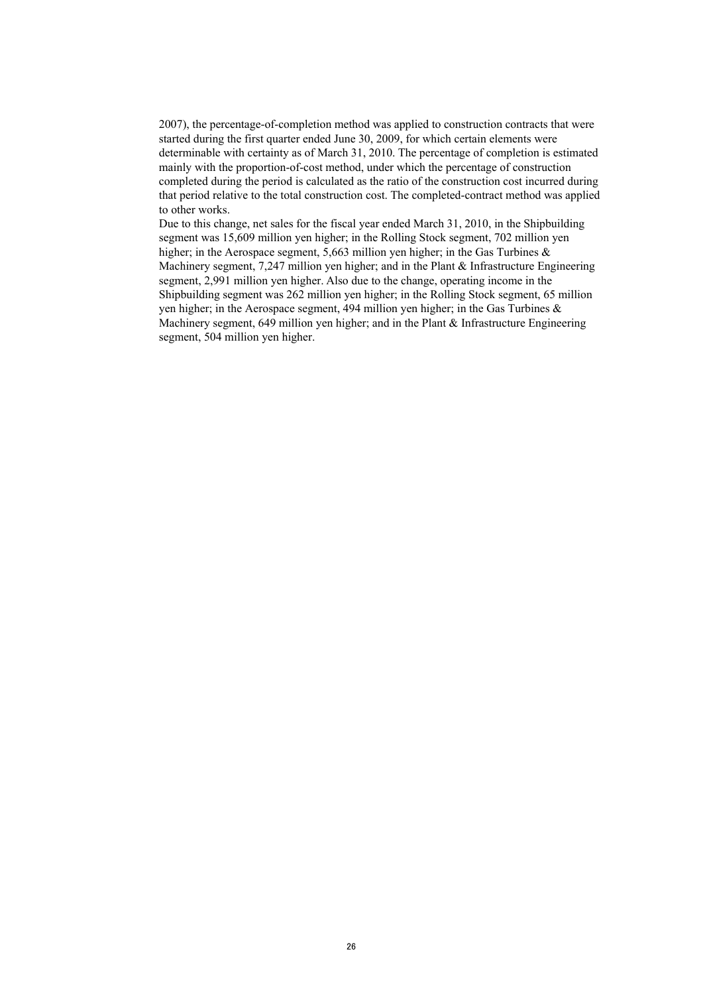2007), the percentage-of-completion method was applied to construction contracts that were started during the first quarter ended June 30, 2009, for which certain elements were determinable with certainty as of March 31, 2010. The percentage of completion is estimated mainly with the proportion-of-cost method, under which the percentage of construction completed during the period is calculated as the ratio of the construction cost incurred during that period relative to the total construction cost. The completed-contract method was applied to other works.

Due to this change, net sales for the fiscal year ended March 31, 2010, in the Shipbuilding segment was 15,609 million yen higher; in the Rolling Stock segment, 702 million yen higher; in the Aerospace segment, 5,663 million yen higher; in the Gas Turbines & Machinery segment,  $7,247$  million yen higher; and in the Plant & Infrastructure Engineering segment, 2,991 million yen higher. Also due to the change, operating income in the Shipbuilding segment was 262 million yen higher; in the Rolling Stock segment, 65 million yen higher; in the Aerospace segment, 494 million yen higher; in the Gas Turbines & Machinery segment,  $649$  million yen higher; and in the Plant  $\&$  Infrastructure Engineering segment, 504 million yen higher.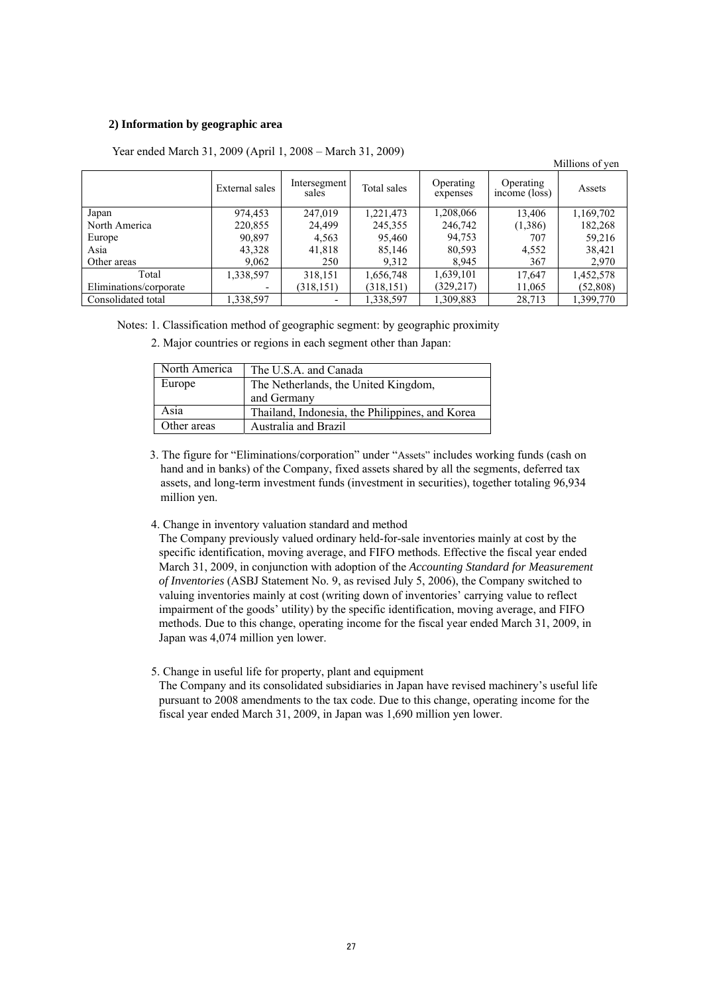### **2) Information by geographic area**

|                        |                          |                       |             |                       |                                               | Millions of yen |
|------------------------|--------------------------|-----------------------|-------------|-----------------------|-----------------------------------------------|-----------------|
|                        | External sales           | Intersegment<br>sales | Total sales | Operating<br>expenses | Operating<br>$inc\hat{o}$ me ( $\hat{loss}$ ) | Assets          |
| Japan                  | 974,453                  | 247,019               | 1,221,473   | 1,208,066             | 13,406                                        | 1,169,702       |
| North America          | 220,855                  | 24,499                | 245,355     | 246,742               | (1,386)                                       | 182,268         |
| Europe                 | 90,897                   | 4,563                 | 95,460      | 94,753                | 707                                           | 59,216          |
| Asia                   | 43,328                   | 41,818                | 85,146      | 80,593                | 4,552                                         | 38,421          |
| Other areas            | 9,062                    | 250                   | 9,312       | 8,945                 | 367                                           | 2,970           |
| Total                  | 1,338,597                | 318,151               | 1,656,748   | 1,639,101             | 17,647                                        | 1,452,578       |
| Eliminations/corporate | $\overline{\phantom{0}}$ | (318, 151)            | (318, 151)  | (329, 217)            | 11,065                                        | (52, 808)       |
| Consolidated total     | 1,338,597                |                       | 1,338,597   | 1,309,883             | 28,713                                        | 1,399,770       |

Year ended March 31, 2009 (April 1, 2008 – March 31, 2009)

Notes: 1. Classification method of geographic segment: by geographic proximity

2. Major countries or regions in each segment other than Japan:

| North America | The U.S.A. and Canada                           |
|---------------|-------------------------------------------------|
| Europe        | The Netherlands, the United Kingdom,            |
|               | and Germany                                     |
| Asia          | Thailand, Indonesia, the Philippines, and Korea |
| Other areas   | Australia and Brazil                            |

- 3. The figure for "Eliminations/corporation" under "Assets" includes working funds (cash on hand and in banks) of the Company, fixed assets shared by all the segments, deferred tax assets, and long-term investment funds (investment in securities), together totaling 96,934 million yen.
- 4. Change in inventory valuation standard and method

The Company previously valued ordinary held-for-sale inventories mainly at cost by the specific identification, moving average, and FIFO methods. Effective the fiscal year ended March 31, 2009, in conjunction with adoption of the *Accounting Standard for Measurement of Inventories* (ASBJ Statement No. 9, as revised July 5, 2006), the Company switched to valuing inventories mainly at cost (writing down of inventories' carrying value to reflect impairment of the goods' utility) by the specific identification, moving average, and FIFO methods. Due to this change, operating income for the fiscal year ended March 31, 2009, in Japan was 4,074 million yen lower.

5. Change in useful life for property, plant and equipment

The Company and its consolidated subsidiaries in Japan have revised machinery's useful life pursuant to 2008 amendments to the tax code. Due to this change, operating income for the fiscal year ended March 31, 2009, in Japan was 1,690 million yen lower.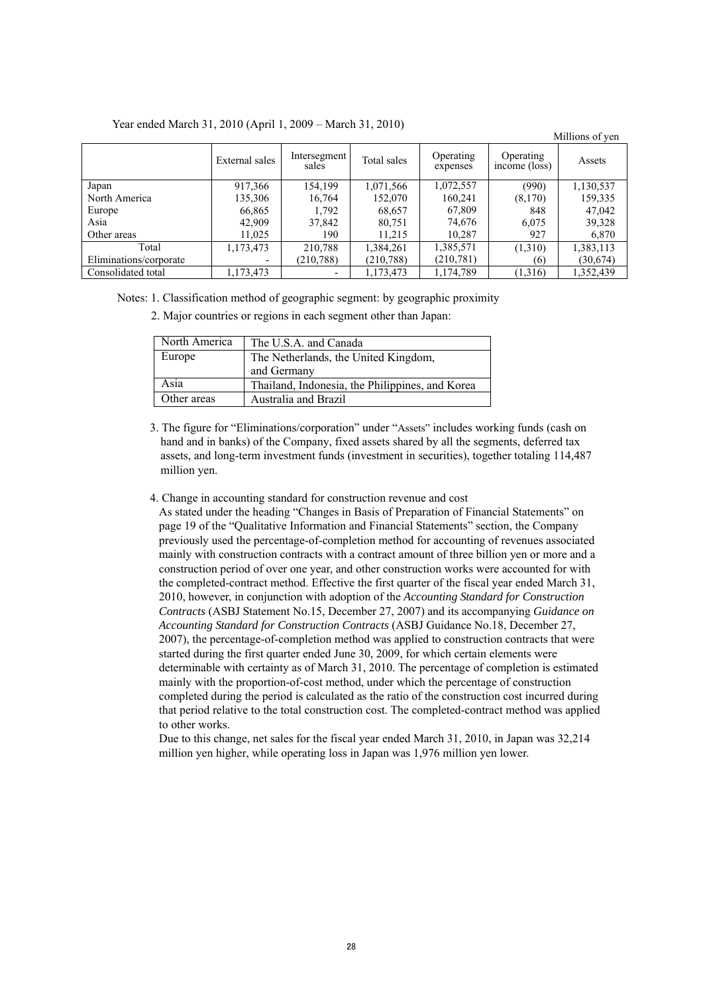|  |  | Year ended March 31, 2010 (April 1, 2009 – March 31, 2010) |
|--|--|------------------------------------------------------------|
|--|--|------------------------------------------------------------|

|                        |                          |                       |             |                       |                            | MILIONS OF VEH |
|------------------------|--------------------------|-----------------------|-------------|-----------------------|----------------------------|----------------|
|                        | External sales           | Intersegment<br>sales | Total sales | Operating<br>expenses | Operating<br>income (loss) | Assets         |
| Japan                  | 917,366                  | 154,199               | 1,071,566   | 1,072,557             | (990)                      | 1,130,537      |
| North America          | 135,306                  | 16,764                | 152,070     | 160,241               | (8,170)                    | 159,335        |
| Europe                 | 66,865                   | 1,792                 | 68,657      | 67,809                | 848                        | 47,042         |
| Asia                   | 42,909                   | 37,842                | 80,751      | 74,676                | 6,075                      | 39,328         |
| Other areas            | 11,025                   | 190                   | 11,215      | 10,287                | 927                        | 6,870          |
| Total                  | 1,173,473                | 210,788               | 1,384,261   | 1,385,571             | (1,310)                    | 1,383,113      |
| Eliminations/corporate | $\overline{\phantom{0}}$ | (210, 788)            | (210, 788)  | (210, 781)            | (6)                        | (30,674)       |
| Consolidated total     | 1,173,473                |                       | 1,173,473   | 1,174,789             | (1,316)                    | 1,352,439      |

Millions of yen

Notes: 1. Classification method of geographic segment: by geographic proximity

2. Major countries or regions in each segment other than Japan:

| North America | The U.S.A. and Canada                           |
|---------------|-------------------------------------------------|
| Europe        | The Netherlands, the United Kingdom,            |
|               | and Germany                                     |
| Asia          | Thailand, Indonesia, the Philippines, and Korea |
| Other areas   | Australia and Brazil                            |

3. The figure for "Eliminations/corporation" under "Assets" includes working funds (cash on hand and in banks) of the Company, fixed assets shared by all the segments, deferred tax assets, and long-term investment funds (investment in securities), together totaling 114,487 million yen.

4. Change in accounting standard for construction revenue and cost

As stated under the heading "Changes in Basis of Preparation of Financial Statements" on page 19 of the "Qualitative Information and Financial Statements" section, the Company previously used the percentage-of-completion method for accounting of revenues associated mainly with construction contracts with a contract amount of three billion yen or more and a construction period of over one year, and other construction works were accounted for with the completed-contract method. Effective the first quarter of the fiscal year ended March 31, 2010, however, in conjunction with adoption of the *Accounting Standard for Construction Contracts* (ASBJ Statement No.15, December 27, 2007) and its accompanying *Guidance on Accounting Standard for Construction Contracts* (ASBJ Guidance No.18, December 27, 2007), the percentage-of-completion method was applied to construction contracts that were started during the first quarter ended June 30, 2009, for which certain elements were determinable with certainty as of March 31, 2010. The percentage of completion is estimated mainly with the proportion-of-cost method, under which the percentage of construction completed during the period is calculated as the ratio of the construction cost incurred during that period relative to the total construction cost. The completed-contract method was applied to other works.

Due to this change, net sales for the fiscal year ended March 31, 2010, in Japan was 32,214 million yen higher, while operating loss in Japan was 1,976 million yen lower.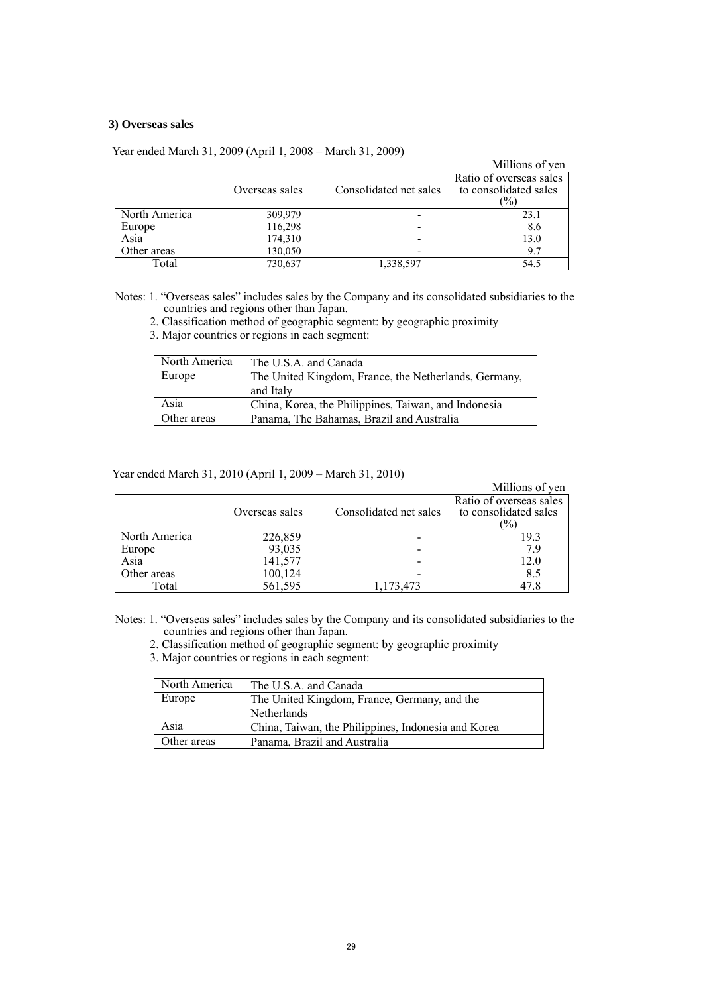### **3) Overseas sales**

|               |                |                        | Millions of yen                                         |
|---------------|----------------|------------------------|---------------------------------------------------------|
|               | Overseas sales | Consolidated net sales | Ratio of overseas sales<br>to consolidated sales<br>(%) |
| North America | 309,979        |                        | 23.1                                                    |
| Europe        | 116,298        |                        | 8.6                                                     |
| Asia          | 174,310        |                        | 13.0                                                    |
| Other areas   | 130,050        |                        | 9.7                                                     |
| Total         | 730,637        | 1,338,597              | 54.5                                                    |

Year ended March 31, 2009 (April 1, 2008 – March 31, 2009)

Notes: 1. "Overseas sales" includes sales by the Company and its consolidated subsidiaries to the countries and regions other than Japan.

2. Classification method of geographic segment: by geographic proximity

3. Major countries or regions in each segment:

| North America | The U.S.A. and Canada                                 |
|---------------|-------------------------------------------------------|
| Europe        | The United Kingdom, France, the Netherlands, Germany, |
|               | and Italy                                             |
| Asia          | China, Korea, the Philippines, Taiwan, and Indonesia  |
| Other areas   | Panama, The Bahamas, Brazil and Australia             |

Year ended March 31, 2010 (April 1, 2009 – March 31, 2010)

|               | $1.000$ and $0.0000$ and $0.0000$ $(0.00000)$ and $0.0000$ and $0.0000$ and $0.0000$ |                        |                                                         |
|---------------|--------------------------------------------------------------------------------------|------------------------|---------------------------------------------------------|
|               |                                                                                      |                        | Millions of yen                                         |
|               | Overseas sales                                                                       | Consolidated net sales | Ratio of overseas sales<br>to consolidated sales<br>(%) |
| North America | 226,859                                                                              |                        | 19.3                                                    |
| Europe        | 93,035                                                                               |                        | 79                                                      |
| Asia          | 141,577                                                                              |                        | 12.0                                                    |
| Other areas   | 100,124                                                                              |                        | 8.5                                                     |
| Total         | 561,595                                                                              | ,173,473               | 47.8                                                    |

Notes: 1. "Overseas sales" includes sales by the Company and its consolidated subsidiaries to the countries and regions other than Japan.

2. Classification method of geographic segment: by geographic proximity

3. Major countries or regions in each segment:

| North America | The U.S.A. and Canada                               |
|---------------|-----------------------------------------------------|
| Europe        | The United Kingdom, France, Germany, and the        |
|               | <b>Netherlands</b>                                  |
| Asia          | China, Taiwan, the Philippines, Indonesia and Korea |
| Other areas   | Panama, Brazil and Australia                        |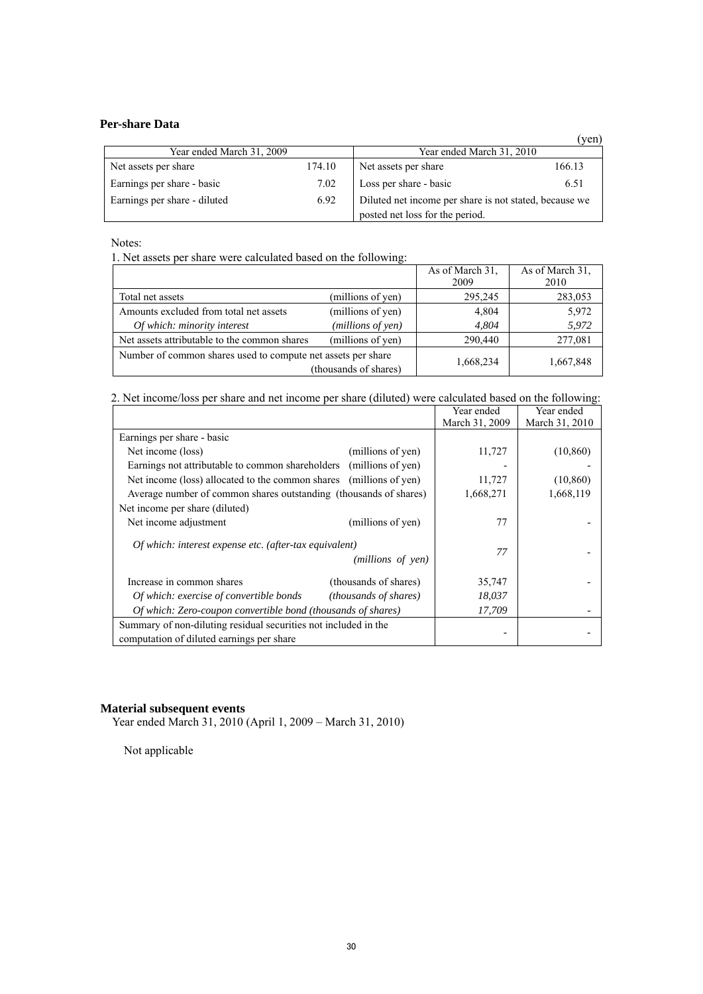# **Per-share Data**

|                              |        |                                                        | (yen   |
|------------------------------|--------|--------------------------------------------------------|--------|
| Year ended March 31, 2009    |        | Year ended March 31, 2010                              |        |
| Net assets per share         | 174.10 | Net assets per share                                   | 166.13 |
| Earnings per share - basic   | 7.02   | Loss per share - basic                                 | 6.51   |
| Earnings per share - diluted | 6.92   | Diluted net income per share is not stated, because we |        |
|                              |        | posted net loss for the period.                        |        |

Notes:

1. Net assets per share were calculated based on the following:

|                                                              |                       | As of March 31,<br>2009 | As of March 31,<br>2010 |
|--------------------------------------------------------------|-----------------------|-------------------------|-------------------------|
| Total net assets                                             | (millions of yen)     | 295,245                 | 283,053                 |
| Amounts excluded from total net assets                       | (millions of yen)     | 4,804                   | 5,972                   |
| Of which: minority interest                                  | (millions of yen)     | 4.804                   | 5,972                   |
| Net assets attributable to the common shares                 | (millions of yen)     | 290,440                 | 277,081                 |
| Number of common shares used to compute net assets per share | (thousands of shares) | 1,668,234               | 1,667,848               |

2. Net income/loss per share and net income per share (diluted) were calculated based on the following:

|                                                                    |                              | Year ended     | Year ended     |
|--------------------------------------------------------------------|------------------------------|----------------|----------------|
|                                                                    |                              | March 31, 2009 | March 31, 2010 |
| Earnings per share - basic                                         |                              |                |                |
| Net income (loss)                                                  | (millions of yen)            | 11,727         | (10, 860)      |
| Earnings not attributable to common shareholders (millions of yen) |                              |                |                |
| Net income (loss) allocated to the common shares (millions of yen) |                              | 11,727         | (10, 860)      |
| Average number of common shares outstanding (thousands of shares)  |                              | 1,668,271      | 1,668,119      |
| Net income per share (diluted)                                     |                              |                |                |
| Net income adjustment                                              | (millions of yen)            | 77             |                |
| Of which: interest expense etc. (after-tax equivalent)             |                              |                |                |
|                                                                    | (millions of yen)            | 77             |                |
|                                                                    |                              |                |                |
| Increase in common shares                                          | (thousands of shares)        | 35,747         |                |
| Of which: exercise of convertible bonds                            | <i>(thousands of shares)</i> | 18,037         |                |
| Of which: Zero-coupon convertible bond (thousands of shares)       |                              | 17,709         |                |
| Summary of non-diluting residual securities not included in the    |                              |                |                |
| computation of diluted earnings per share                          |                              |                |                |

### **Material subsequent events**

Year ended March 31, 2010 (April 1, 2009 – March 31, 2010)

Not applicable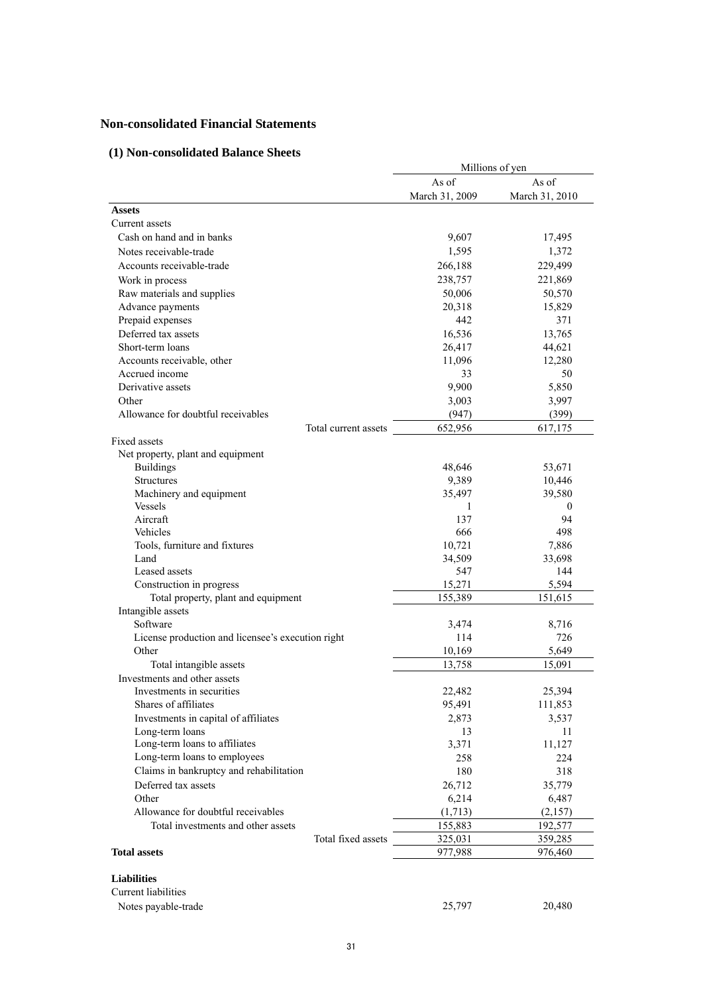# **Non-consolidated Financial Statements**

# **(1) Non-consolidated Balance Sheets**

|                                                   |                         | Millions of yen         |
|---------------------------------------------------|-------------------------|-------------------------|
|                                                   | As of<br>March 31, 2009 | As of<br>March 31, 2010 |
| <b>Assets</b>                                     |                         |                         |
| Current assets                                    |                         |                         |
| Cash on hand and in banks                         | 9,607                   | 17,495                  |
| Notes receivable-trade                            | 1,595                   | 1,372                   |
| Accounts receivable-trade                         | 266,188                 | 229,499                 |
| Work in process                                   | 238,757                 | 221,869                 |
| Raw materials and supplies                        | 50,006                  | 50,570                  |
| Advance payments                                  | 20,318                  | 15,829                  |
| Prepaid expenses                                  | 442                     | 371                     |
| Deferred tax assets                               | 16,536                  | 13,765                  |
| Short-term loans                                  | 26,417                  | 44,621                  |
| Accounts receivable, other                        | 11,096                  | 12,280                  |
| Accrued income                                    | 33                      | 50                      |
| Derivative assets                                 | 9,900                   | 5,850                   |
| Other                                             | 3,003                   | 3,997                   |
| Allowance for doubtful receivables                | (947)                   | (399)                   |
| Total current assets                              | 652,956                 | 617,175                 |
| Fixed assets                                      |                         |                         |
| Net property, plant and equipment                 |                         |                         |
| <b>Buildings</b>                                  | 48,646                  | 53,671                  |
| <b>Structures</b>                                 | 9,389                   | 10,446                  |
| Machinery and equipment                           | 35,497                  | 39,580                  |
| <b>Vessels</b>                                    | 1                       | $\theta$                |
| Aircraft                                          | 137                     | 94                      |
| Vehicles                                          | 666                     | 498                     |
| Tools, furniture and fixtures                     | 10,721                  | 7,886                   |
| Land                                              | 34,509                  | 33,698                  |
| Leased assets                                     | 547                     | 144                     |
| Construction in progress                          | 15,271                  | 5,594                   |
| Total property, plant and equipment               | 155,389                 | 151,615                 |
| Intangible assets                                 |                         |                         |
| Software                                          | 3,474                   | 8,716                   |
| License production and licensee's execution right | 114                     | 726                     |
| Other                                             | 10,169                  | 5,649                   |
| Total intangible assets                           | 13,758                  | 15,091                  |
| Investments and other assets                      |                         |                         |
| Investments in securities                         | 22,482                  | 25,394                  |
| Shares of affiliates                              | 95,491                  | 111,853                 |
| Investments in capital of affiliates              | 2,873                   | 3,537                   |
| Long-term loans                                   | 13                      | 11                      |
| Long-term loans to affiliates                     | 3,371                   | 11,127                  |
| Long-term loans to employees                      | 258                     | 224                     |
| Claims in bankruptcy and rehabilitation           | 180                     | 318                     |
| Deferred tax assets                               | 26,712                  | 35,779                  |
| Other                                             | 6,214                   | 6,487                   |
| Allowance for doubtful receivables                | (1,713)                 | (2,157)                 |
| Total investments and other assets                | 155,883                 | 192,577                 |
| Total fixed assets                                | 325,031                 | 359,285                 |
| <b>Total assets</b>                               | 977,988                 | 976,460                 |
| <b>Liabilities</b>                                |                         |                         |
| Current liabilities                               |                         |                         |
| Notes payable-trade                               | 25,797                  | 20,480                  |
|                                                   |                         |                         |

31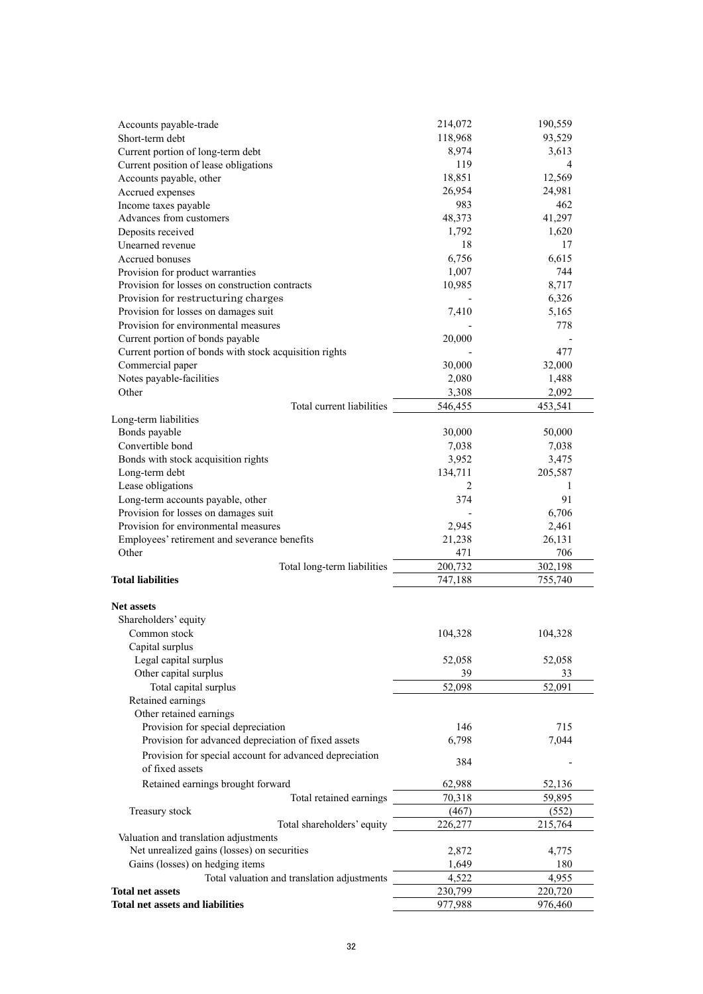| Accounts payable-trade                                 |                                                         | 214,072 | 190,559 |
|--------------------------------------------------------|---------------------------------------------------------|---------|---------|
| Short-term debt                                        |                                                         | 118,968 | 93,529  |
| Current portion of long-term debt                      |                                                         | 8,974   | 3,613   |
| Current position of lease obligations                  |                                                         | 119     | 4       |
| Accounts payable, other                                |                                                         | 18,851  | 12,569  |
| Accrued expenses                                       |                                                         | 26,954  | 24,981  |
| Income taxes payable                                   |                                                         | 983     | 462     |
| Advances from customers                                |                                                         | 48,373  | 41,297  |
| Deposits received                                      |                                                         | 1,792   | 1,620   |
| Unearned revenue                                       |                                                         | 18      | 17      |
| Accrued bonuses                                        |                                                         | 6,756   | 6,615   |
| Provision for product warranties                       |                                                         | 1,007   | 744     |
| Provision for losses on construction contracts         |                                                         | 10,985  | 8,717   |
| Provision for restructuring charges                    |                                                         |         | 6,326   |
| Provision for losses on damages suit                   |                                                         | 7,410   | 5,165   |
| Provision for environmental measures                   |                                                         |         | 778     |
| Current portion of bonds payable                       |                                                         | 20,000  |         |
| Current portion of bonds with stock acquisition rights |                                                         |         | 477     |
| Commercial paper                                       |                                                         | 30,000  | 32,000  |
| Notes payable-facilities                               |                                                         | 2,080   | 1,488   |
| Other                                                  |                                                         | 3,308   | 2,092   |
|                                                        | Total current liabilities                               | 546,455 | 453,541 |
| Long-term liabilities                                  |                                                         |         |         |
| Bonds payable                                          |                                                         | 30,000  | 50,000  |
| Convertible bond                                       |                                                         | 7,038   | 7,038   |
| Bonds with stock acquisition rights                    |                                                         | 3,952   | 3,475   |
| Long-term debt                                         |                                                         | 134,711 | 205,587 |
| Lease obligations                                      |                                                         | 2       | 1       |
| Long-term accounts payable, other                      |                                                         | 374     | 91      |
| Provision for losses on damages suit                   |                                                         |         | 6,706   |
| Provision for environmental measures                   |                                                         | 2,945   | 2,461   |
| Employees' retirement and severance benefits           |                                                         | 21,238  | 26,131  |
| Other                                                  |                                                         | 471     | 706     |
|                                                        | Total long-term liabilities                             | 200,732 | 302,198 |
| <b>Total liabilities</b>                               |                                                         | 747,188 | 755,740 |
|                                                        |                                                         |         |         |
| <b>Net assets</b>                                      |                                                         |         |         |
| Shareholders' equity                                   |                                                         |         |         |
| Common stock                                           |                                                         | 104,328 | 104,328 |
| Capital surplus                                        |                                                         |         |         |
| Legal capital surplus                                  |                                                         | 52,058  | 52,058  |
| Other capital surplus                                  |                                                         | 39      | 33      |
| Total capital surplus                                  |                                                         | 52,098  | 52,091  |
| Retained earnings                                      |                                                         |         |         |
| Other retained earnings                                |                                                         |         |         |
| Provision for special depreciation                     |                                                         | 146     | 715     |
| Provision for advanced depreciation of fixed assets    |                                                         | 6,798   | 7,044   |
|                                                        |                                                         |         |         |
|                                                        | Provision for special account for advanced depreciation | 384     |         |
| of fixed assets                                        |                                                         |         |         |
| Retained earnings brought forward                      |                                                         | 62,988  | 52,136  |
|                                                        | Total retained earnings                                 | 70,318  | 59,895  |
| Treasury stock                                         |                                                         | (467)   | (552)   |
|                                                        | Total shareholders' equity                              | 226,277 | 215,764 |
| Valuation and translation adjustments                  |                                                         |         |         |
| Net unrealized gains (losses) on securities            |                                                         | 2,872   | 4,775   |
| Gains (losses) on hedging items                        |                                                         | 1,649   | 180     |
|                                                        | Total valuation and translation adjustments             | 4,522   | 4,955   |
| <b>Total net assets</b>                                |                                                         | 230,799 | 220,720 |
| <b>Total net assets and liabilities</b>                |                                                         | 977,988 | 976,460 |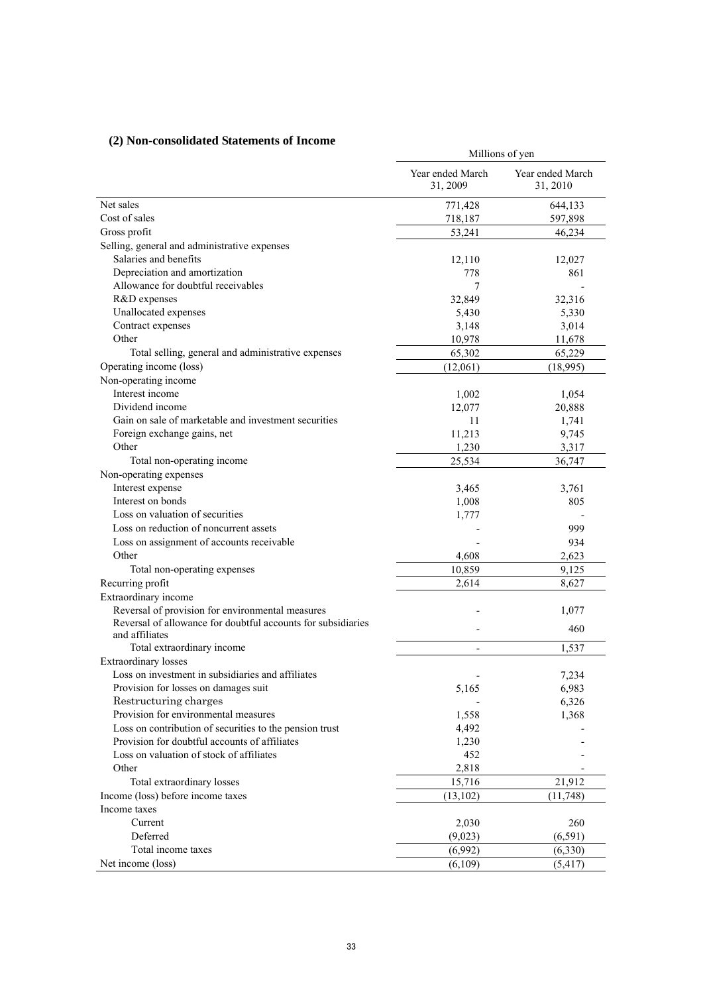# **(2) Non-consolidated Statements of Income**

| $(z)$ ivon-consondated statements of income                  | Millions of yen              |                              |  |
|--------------------------------------------------------------|------------------------------|------------------------------|--|
|                                                              | Year ended March<br>31, 2009 | Year ended March<br>31, 2010 |  |
| Net sales                                                    | 771,428                      | 644,133                      |  |
| Cost of sales                                                | 718,187                      | 597,898                      |  |
| Gross profit                                                 | 53,241                       | 46,234                       |  |
| Selling, general and administrative expenses                 |                              |                              |  |
| Salaries and benefits                                        | 12,110                       | 12,027                       |  |
| Depreciation and amortization                                | 778                          | 861                          |  |
| Allowance for doubtful receivables                           | 7                            |                              |  |
| R&D expenses                                                 | 32,849                       | 32,316                       |  |
| Unallocated expenses                                         | 5,430                        | 5,330                        |  |
| Contract expenses                                            | 3,148                        | 3,014                        |  |
| Other                                                        | 10,978                       | 11,678                       |  |
| Total selling, general and administrative expenses           | 65,302                       | 65,229                       |  |
| Operating income (loss)                                      | (12,061)                     | (18,995)                     |  |
| Non-operating income                                         |                              |                              |  |
| Interest income                                              | 1,002                        | 1,054                        |  |
| Dividend income                                              | 12,077                       | 20,888                       |  |
| Gain on sale of marketable and investment securities         | 11                           | 1,741                        |  |
| Foreign exchange gains, net                                  | 11,213                       | 9,745                        |  |
| Other                                                        | 1,230                        | 3,317                        |  |
| Total non-operating income                                   | 25,534                       | 36,747                       |  |
| Non-operating expenses                                       |                              |                              |  |
| Interest expense                                             | 3,465                        | 3,761                        |  |
| Interest on bonds                                            | 1,008                        | 805                          |  |
| Loss on valuation of securities                              | 1,777                        |                              |  |
| Loss on reduction of noncurrent assets                       |                              | 999                          |  |
| Loss on assignment of accounts receivable                    |                              | 934                          |  |
| Other                                                        | 4,608                        | 2,623                        |  |
| Total non-operating expenses                                 | 10,859                       | 9,125                        |  |
| Recurring profit                                             | 2,614                        | 8,627                        |  |
| Extraordinary income                                         |                              |                              |  |
| Reversal of provision for environmental measures             |                              | 1,077                        |  |
| Reversal of allowance for doubtful accounts for subsidiaries |                              |                              |  |
| and affiliates                                               |                              | 460                          |  |
| Total extraordinary income                                   | $\overline{\phantom{0}}$     | 1,537                        |  |
| <b>Extraordinary losses</b>                                  |                              |                              |  |
| Loss on investment in subsidiaries and affiliates            |                              | 7,234                        |  |
| Provision for losses on damages suit                         | 5,165                        | 6,983                        |  |
| Restructuring charges                                        |                              | 6,326                        |  |
| Provision for environmental measures                         | 1,558                        | 1,368                        |  |
| Loss on contribution of securities to the pension trust      | 4,492                        |                              |  |
| Provision for doubtful accounts of affiliates                | 1,230                        |                              |  |
| Loss on valuation of stock of affiliates                     | 452                          |                              |  |
| Other                                                        | 2,818                        |                              |  |
| Total extraordinary losses                                   | 15,716                       | 21,912                       |  |
| Income (loss) before income taxes                            | (13,102)                     | (11,748)                     |  |
| Income taxes                                                 |                              |                              |  |
| Current                                                      | 2,030                        | 260                          |  |
| Deferred                                                     | (9,023)                      | (6, 591)                     |  |
| Total income taxes                                           | (6,992)                      | (6, 330)                     |  |
| Net income (loss)                                            | (6,109)                      | (5, 417)                     |  |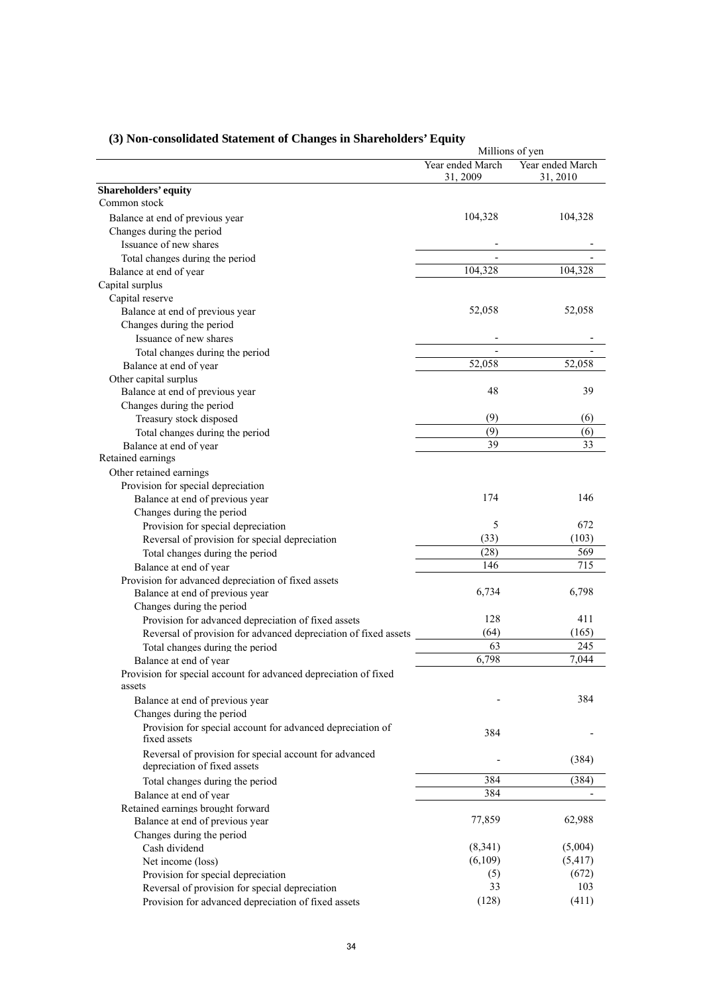|                                                                                        |                              | Millions of yen              |
|----------------------------------------------------------------------------------------|------------------------------|------------------------------|
|                                                                                        | Year ended March<br>31, 2009 | Year ended March<br>31, 2010 |
| Shareholders' equity                                                                   |                              |                              |
| Common stock                                                                           |                              |                              |
| Balance at end of previous year                                                        | 104,328                      | 104,328                      |
| Changes during the period                                                              |                              |                              |
| Issuance of new shares                                                                 |                              |                              |
| Total changes during the period                                                        | ٠                            |                              |
| Balance at end of year                                                                 | 104,328                      | 104,328                      |
| Capital surplus                                                                        |                              |                              |
| Capital reserve                                                                        |                              |                              |
| Balance at end of previous year                                                        | 52,058                       | 52,058                       |
| Changes during the period                                                              |                              |                              |
| Issuance of new shares                                                                 |                              |                              |
| Total changes during the period                                                        |                              |                              |
| Balance at end of year                                                                 | 52,058                       | 52,058                       |
| Other capital surplus                                                                  |                              |                              |
| Balance at end of previous year                                                        | 48                           | 39                           |
| Changes during the period                                                              |                              |                              |
| Treasury stock disposed                                                                | (9)                          | (6)                          |
| Total changes during the period                                                        | (9)                          | (6)                          |
| Balance at end of year                                                                 | 39                           | 33                           |
| Retained earnings                                                                      |                              |                              |
| Other retained earnings                                                                |                              |                              |
| Provision for special depreciation                                                     |                              |                              |
| Balance at end of previous year                                                        | 174                          | 146                          |
| Changes during the period                                                              |                              |                              |
| Provision for special depreciation                                                     | 5                            | 672                          |
| Reversal of provision for special depreciation                                         | (33)                         | (103)                        |
| Total changes during the period                                                        | (28)                         | 569                          |
| Balance at end of year                                                                 | 146                          | 715                          |
| Provision for advanced depreciation of fixed assets                                    |                              |                              |
| Balance at end of previous year                                                        | 6,734                        | 6,798                        |
| Changes during the period                                                              |                              |                              |
| Provision for advanced depreciation of fixed assets                                    | 128                          | 411                          |
| Reversal of provision for advanced depreciation of fixed assets                        | (64)                         | (165)                        |
| Total changes during the period                                                        | 63                           | 245                          |
| Balance at end of year                                                                 | 6,798                        | 7,044                        |
| Provision for special account for advanced depreciation of fixed                       |                              |                              |
| assets                                                                                 |                              |                              |
| Balance at end of previous year                                                        |                              | 384                          |
| Changes during the period                                                              |                              |                              |
| Provision for special account for advanced depreciation of                             | 384                          |                              |
| fixed assets                                                                           |                              |                              |
| Reversal of provision for special account for advanced<br>depreciation of fixed assets |                              | (384)                        |
|                                                                                        | 384                          | (384)                        |
| Total changes during the period                                                        | 384                          |                              |
| Balance at end of year                                                                 |                              |                              |
| Retained earnings brought forward                                                      |                              |                              |
| Balance at end of previous year                                                        | 77,859                       | 62,988                       |
| Changes during the period                                                              |                              |                              |
| Cash dividend                                                                          | (8,341)                      | (5,004)                      |
| Net income (loss)                                                                      | (6,109)                      | (5, 417)                     |
| Provision for special depreciation                                                     | (5)<br>33                    | (672)                        |
| Reversal of provision for special depreciation                                         |                              | 103                          |
| Provision for advanced depreciation of fixed assets                                    | (128)                        | (411)                        |

# **(3) Non-consolidated Statement of Changes in Shareholders' Equity**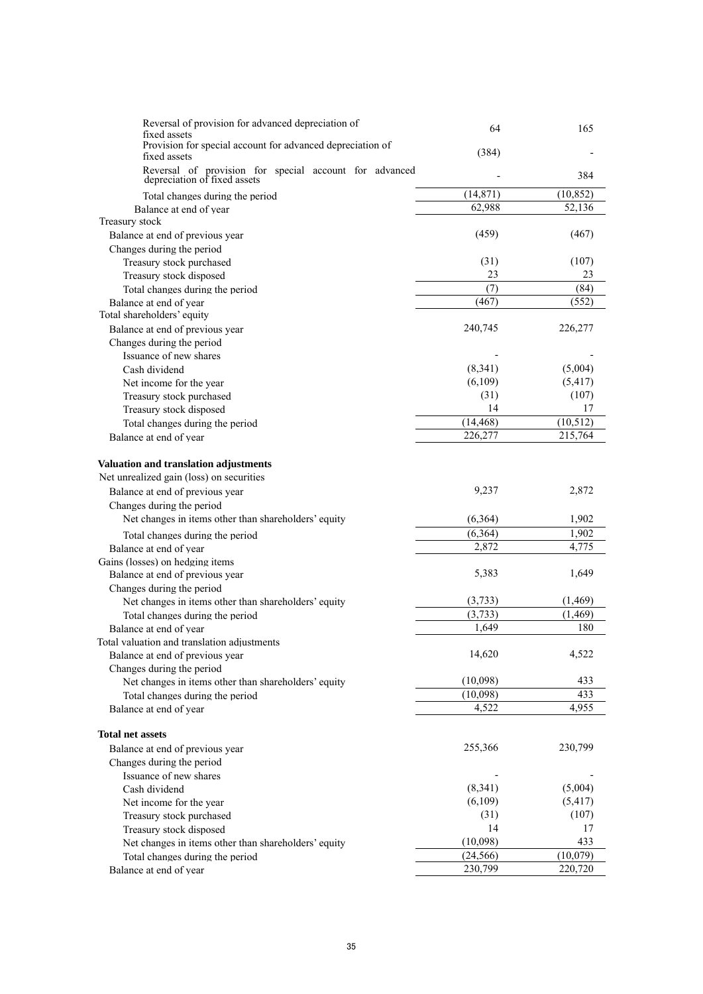| Reversal of provision for advanced depreciation of<br>fixed assets                     | 64        | 165       |
|----------------------------------------------------------------------------------------|-----------|-----------|
| Provision for special account for advanced depreciation of<br>fixed assets             | (384)     |           |
| Reversal of provision for special account for advanced<br>depreciation of fixed assets |           | 384       |
| Total changes during the period                                                        | (14, 871) | (10, 852) |
| Balance at end of year                                                                 | 62,988    | 52,136    |
| Treasury stock                                                                         |           |           |
| Balance at end of previous year                                                        | (459)     | (467)     |
| Changes during the period                                                              |           |           |
| Treasury stock purchased                                                               | (31)      | (107)     |
| Treasury stock disposed                                                                | 23        | 23        |
| Total changes during the period                                                        | (7)       | (84)      |
| Balance at end of year                                                                 | (467)     | (552)     |
| Total shareholders' equity                                                             | 240,745   |           |
| Balance at end of previous year                                                        |           | 226,277   |
| Changes during the period                                                              |           |           |
| Issuance of new shares<br>Cash dividend                                                | (8, 341)  | (5,004)   |
| Net income for the year                                                                | (6,109)   | (5, 417)  |
| Treasury stock purchased                                                               | (31)      | (107)     |
| Treasury stock disposed                                                                | 14        | 17        |
| Total changes during the period                                                        | (14, 468) | (10, 512) |
| Balance at end of year                                                                 | 226,277   | 215,764   |
|                                                                                        |           |           |
| Valuation and translation adjustments                                                  |           |           |
| Net unrealized gain (loss) on securities                                               |           |           |
| Balance at end of previous year                                                        | 9,237     | 2,872     |
| Changes during the period                                                              |           |           |
| Net changes in items other than shareholders' equity                                   | (6, 364)  | 1,902     |
| Total changes during the period                                                        | (6, 364)  | 1,902     |
| Balance at end of year                                                                 | 2,872     | 4,775     |
| Gains (losses) on hedging items                                                        |           |           |
| Balance at end of previous year                                                        | 5,383     | 1,649     |
| Changes during the period                                                              |           |           |
| Net changes in items other than shareholders' equity                                   | (3,733)   | (1, 469)  |
| Total changes during the period                                                        | (3,733)   | (1, 469)  |
| Balance at end of year                                                                 | 1,649     | 180       |
| Total valuation and translation adjustments                                            |           |           |
| Balance at end of previous year                                                        | 14,620    | 4,522     |
| Changes during the period                                                              |           |           |
| Net changes in items other than shareholders' equity                                   | (10,098)  | 433       |
| Total changes during the period                                                        | (10,098)  | 433       |
| Balance at end of year                                                                 | 4,522     | 4.955     |
| <b>Total net assets</b>                                                                |           |           |
| Balance at end of previous year                                                        | 255,366   | 230,799   |
| Changes during the period                                                              |           |           |
| Issuance of new shares                                                                 |           |           |
| Cash dividend                                                                          | (8,341)   | (5,004)   |
| Net income for the year                                                                | (6,109)   | (5, 417)  |
| Treasury stock purchased                                                               | (31)      | (107)     |
| Treasury stock disposed                                                                | 14        | 17        |
| Net changes in items other than shareholders' equity                                   | (10,098)  | 433       |
| Total changes during the period                                                        | (24, 566) | (10,079)  |
| Balance at end of year                                                                 | 230,799   | 220,720   |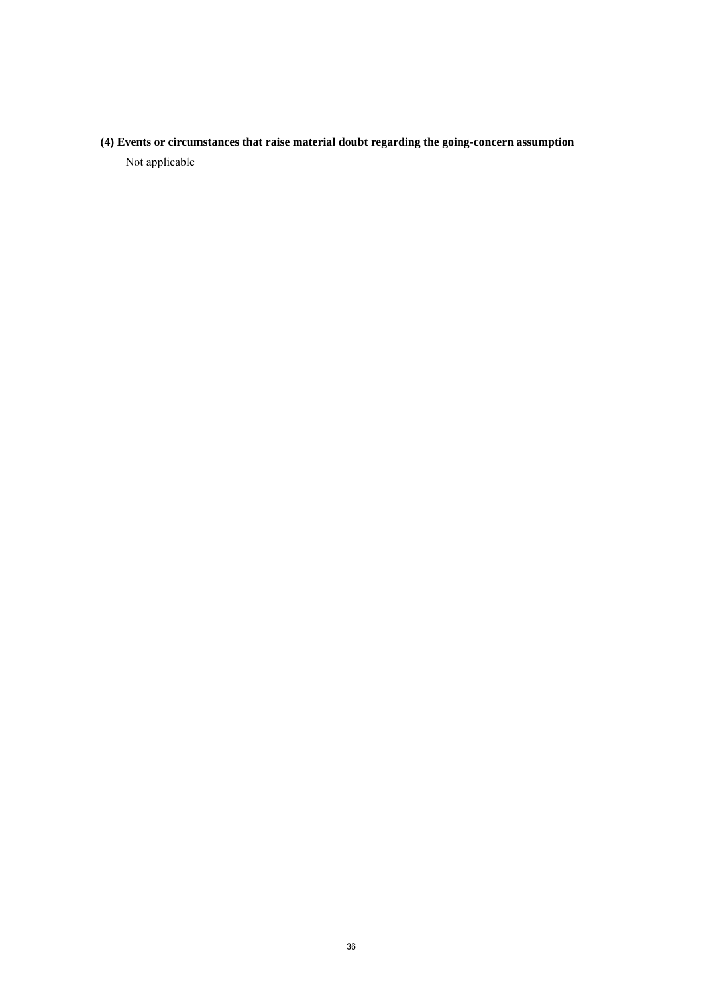**(4) Events or circumstances that raise material doubt regarding the going-concern assumption**  Not applicable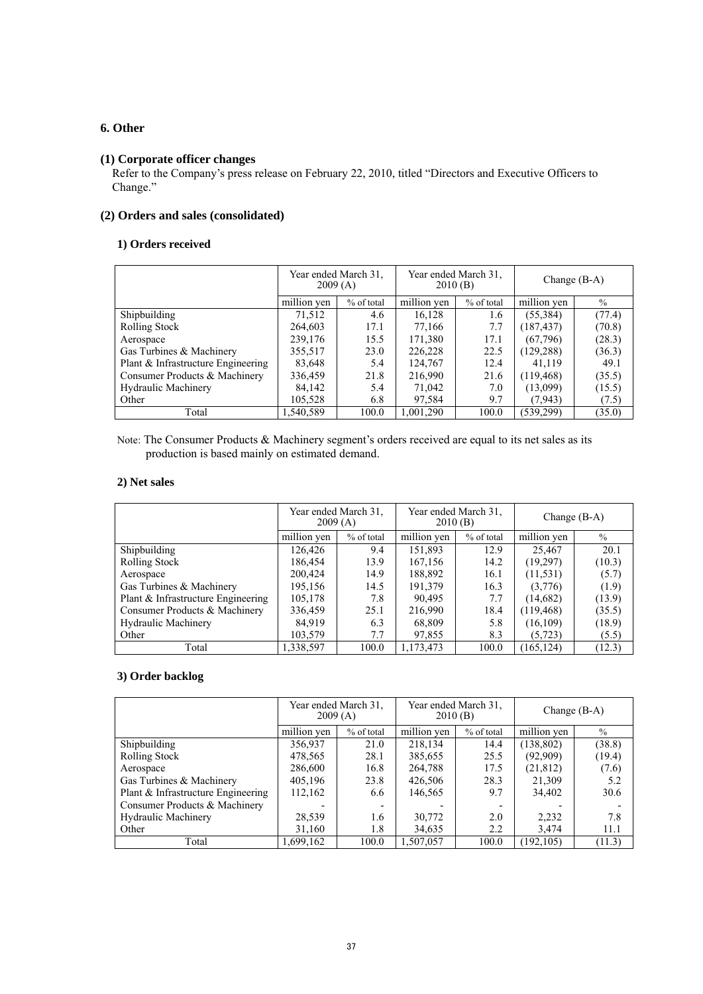# **6. Other**

# **(1) Corporate officer changes**

Refer to the Company's press release on February 22, 2010, titled "Directors and Executive Officers to Change."

# **(2) Orders and sales (consolidated)**

## **1) Orders received**

|                                    | Year ended March 31.<br>2009(A) |              | Year ended March 31.<br>2010(B) |            | Change $(B-A)$ |        |
|------------------------------------|---------------------------------|--------------|---------------------------------|------------|----------------|--------|
|                                    | million yen                     | $%$ of total | million yen                     | % of total | million yen    | $\%$   |
| Shipbuilding                       | 71,512                          | 4.6          | 16,128                          | 1.6        | (55,384)       | (77.4) |
| Rolling Stock                      | 264,603                         | 17.1         | 77,166                          | 7.7        | (187, 437)     | (70.8) |
| Aerospace                          | 239,176                         | 15.5         | 171,380                         | 17.1       | (67,796)       | (28.3) |
| Gas Turbines & Machinery           | 355,517                         | 23.0         | 226,228                         | 22.5       | (129, 288)     | (36.3) |
| Plant & Infrastructure Engineering | 83,648                          | 5.4          | 124,767                         | 12.4       | 41,119         | 49.1   |
| Consumer Products & Machinery      | 336,459                         | 21.8         | 216,990                         | 21.6       | (119, 468)     | (35.5) |
| <b>Hydraulic Machinery</b>         | 84,142                          | 5.4          | 71,042                          | 7.0        | (13,099)       | (15.5) |
| Other                              | 105,528                         | 6.8          | 97,584                          | 9.7        | (7, 943)       | (7.5)  |
| Total                              | 1.540.589                       | 100.0        | 1,001,290                       | 100.0      | (539, 299)     | (35.0) |

Note: The Consumer Products & Machinery segment's orders received are equal to its net sales as its production is based mainly on estimated demand.

### **2) Net sales**

|                                    | Year ended March 31.<br>2009(A) |            | Year ended March 31.<br>2010(B) |            | Change $(B-A)$ |        |
|------------------------------------|---------------------------------|------------|---------------------------------|------------|----------------|--------|
|                                    | million yen                     | % of total | million yen                     | % of total | million yen    | $\%$   |
| Shipbuilding                       | 126,426                         | 9.4        | 151,893                         | 12.9       | 25,467         | 20.1   |
| <b>Rolling Stock</b>               | 186,454                         | 13.9       | 167,156                         | 14.2       | (19,297)       | (10.3) |
| Aerospace                          | 200,424                         | 14.9       | 188,892                         | 16.1       | (11, 531)      | (5.7)  |
| Gas Turbines & Machinery           | 195,156                         | 14.5       | 191,379                         | 16.3       | (3,776)        | (1.9)  |
| Plant & Infrastructure Engineering | 105,178                         | 7.8        | 90,495                          | 7.7        | (14,682)       | (13.9) |
| Consumer Products & Machinery      | 336,459                         | 25.1       | 216,990                         | 18.4       | (119, 468)     | (35.5) |
| <b>Hydraulic Machinery</b>         | 84,919                          | 6.3        | 68,809                          | 5.8        | (16, 109)      | (18.9) |
| Other                              | 103,579                         | 7.7        | 97,855                          | 8.3        | (5, 723)       | (5.5)  |
| Total                              | .338,597                        | 100.0      | 1,173,473                       | 100.0      | (165, 124)     | (12.3) |

# **3) Order backlog**

|                                    | Year ended March 31.<br>2009(A) |                          | Year ended March 31.<br>2010(B) |              | Change $(B-A)$ |        |
|------------------------------------|---------------------------------|--------------------------|---------------------------------|--------------|----------------|--------|
|                                    | million ven                     | % of total               | million yen                     | $%$ of total | million yen    | $\%$   |
| Shipbuilding                       | 356,937                         | 21.0                     | 218,134                         | 14.4         | (138, 802)     | (38.8) |
| <b>Rolling Stock</b>               | 478,565                         | 28.1                     | 385,655                         | 25.5         | (92,909)       | (19.4) |
| Aerospace                          | 286,600                         | 16.8                     | 264,788                         | 17.5         | (21, 812)      | (7.6)  |
| Gas Turbines & Machinery           | 405,196                         | 23.8                     | 426,506                         | 28.3         | 21,309         | 5.2    |
| Plant & Infrastructure Engineering | 112,162                         | 6.6                      | 146,565                         | 9.7          | 34,402         | 30.6   |
| Consumer Products & Machinery      |                                 | $\overline{\phantom{a}}$ |                                 |              |                |        |
| <b>Hydraulic Machinery</b>         | 28,539                          | 1.6                      | 30,772                          | 2.0          | 2,232          | 7.8    |
| Other                              | 31,160                          | 1.8                      | 34,635                          | 2.2          | 3,474          | 11.1   |
| Total                              | 1,699,162                       | 100.0                    | 1,507,057                       | 100.0        | (192, 105)     | (11.3) |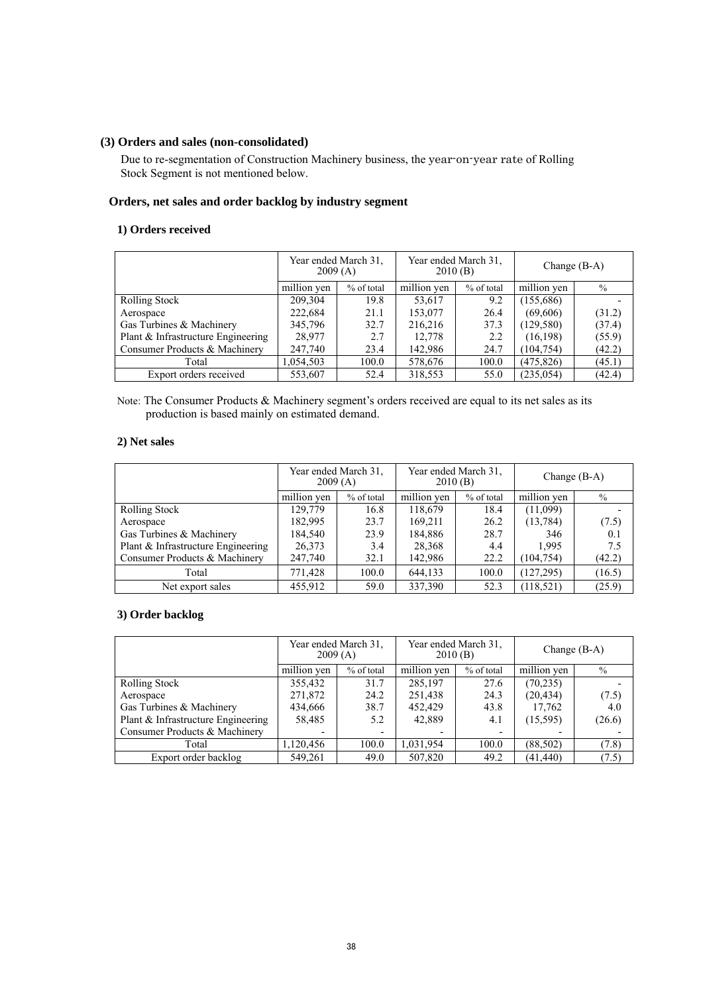### **(3) Orders and sales (non-consolidated)**

Due to re-segmentation of Construction Machinery business, the year-on-year rate of Rolling Stock Segment is not mentioned below.

### **Orders, net sales and order backlog by industry segment**

## **1) Orders received**

|                                    | Year ended March 31.<br>2009(A) |            | Year ended March 31.<br>2010(B) |            | Change $(B-A)$ |        |
|------------------------------------|---------------------------------|------------|---------------------------------|------------|----------------|--------|
|                                    | million yen                     | % of total | million yen                     | % of total | million yen    | $\%$   |
| <b>Rolling Stock</b>               | 209,304                         | 19.8       | 53,617                          | 9.2        | (155,686)      |        |
| Aerospace                          | 222.684                         | 21.1       | 153,077                         | 26.4       | (69,606)       | (31.2) |
| Gas Turbines & Machinery           | 345,796                         | 32.7       | 216,216                         | 37.3       | (129, 580)     | (37.4) |
| Plant & Infrastructure Engineering | 28,977                          | 2.7        | 12,778                          | 2.2        | (16, 198)      | (55.9) |
| Consumer Products & Machinery      | 247,740                         | 23.4       | 142,986                         | 24.7       | (104, 754)     | (42.2) |
| Total                              | 1,054,503                       | 100.0      | 578,676                         | 100.0      | (475, 826)     | (45.1) |
| Export orders received             | 553,607                         | 52.4       | 318,553                         | 55.0       | (235, 054)     | (42.4) |

Note: The Consumer Products & Machinery segment's orders received are equal to its net sales as its production is based mainly on estimated demand.

### **2) Net sales**

|                                    | Year ended March 31.<br>2009(A) |            | Year ended March 31,<br>2010(B) |            | Change $(B-A)$ |        |
|------------------------------------|---------------------------------|------------|---------------------------------|------------|----------------|--------|
|                                    | million yen                     | % of total | million yen                     | % of total | million yen    | $\%$   |
| <b>Rolling Stock</b>               | 129,779                         | 16.8       | 118,679                         | 18.4       | (11,099)       |        |
| Aerospace                          | 182,995                         | 23.7       | 169.211                         | 26.2       | (13, 784)      | (7.5)  |
| Gas Turbines & Machinery           | 184,540                         | 23.9       | 184,886                         | 28.7       | 346            | 0.1    |
| Plant & Infrastructure Engineering | 26,373                          | 3.4        | 28,368                          | 4.4        | 1.995          | 7.5    |
| Consumer Products & Machinery      | 247,740                         | 32.1       | 142,986                         | 22.2       | (104, 754)     | (42.2) |
| Total                              | 771,428                         | 100.0      | 644,133                         | 100.0      | (127, 295)     | (16.5) |
| Net export sales                   | 455,912                         | 59.0       | 337,390                         | 52.3       | (118, 521)     | (25.9) |

### **3) Order backlog**

|                                    | Year ended March 31.<br>2009(A) |                          | Year ended March 31.<br>2010(B) |            | Change $(B-A)$ |        |
|------------------------------------|---------------------------------|--------------------------|---------------------------------|------------|----------------|--------|
|                                    | million ven                     | % of total               | million yen                     | % of total | million yen    | $\%$   |
| <b>Rolling Stock</b>               | 355,432                         | 31.7                     | 285,197                         | 27.6       | (70, 235)      |        |
| Aerospace                          | 271,872                         | 24.2                     | 251,438                         | 24.3       | (20, 434)      | (7.5)  |
| Gas Turbines & Machinery           | 434,666                         | 38.7                     | 452,429                         | 43.8       | 17,762         | 4.0    |
| Plant & Infrastructure Engineering | 58,485                          | 5.2                      | 42,889                          | 4.1        | (15,595)       | (26.6) |
| Consumer Products & Machinery      |                                 | $\overline{\phantom{0}}$ |                                 |            |                |        |
| Total                              | 1.120.456                       | 100.0                    | 1.031.954                       | 100.0      | (88, 502)      | (7.8)  |
| Export order backlog               | 549,261                         | 49.0                     | 507,820                         | 49.2       | (41, 440)      | (7.5)  |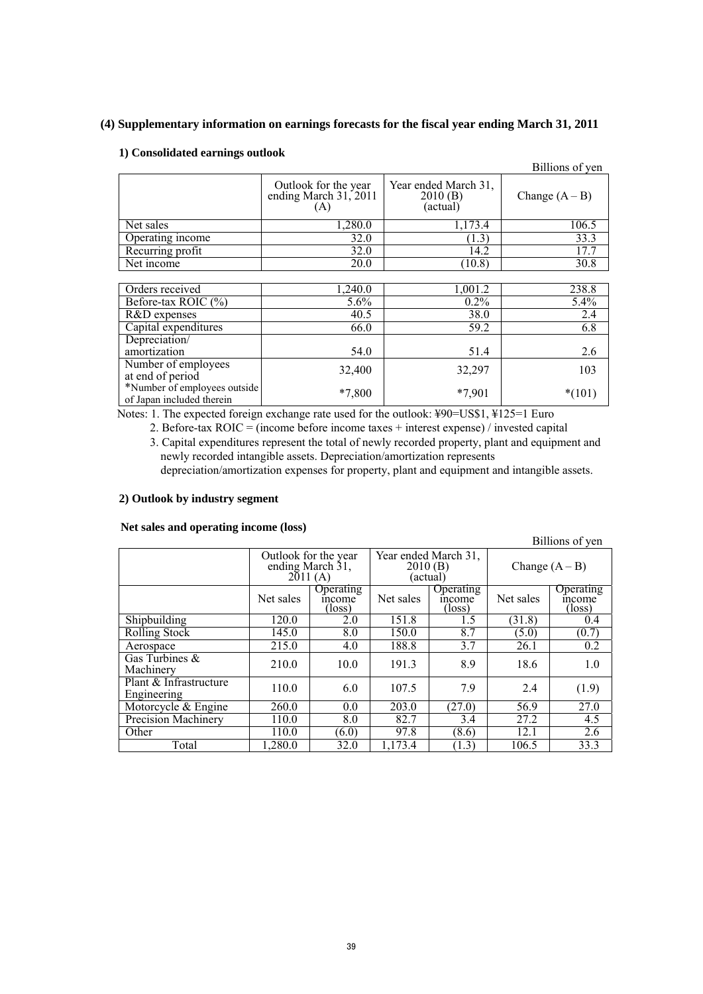# **(4) Supplementary information on earnings forecasts for the fiscal year ending March 31, 2011**

### **1) Consolidated earnings outlook**

|                                                           |                                                      |                                             | Billions of yen  |
|-----------------------------------------------------------|------------------------------------------------------|---------------------------------------------|------------------|
|                                                           | Outlook for the year<br>ending March 31, 2011<br>(A) | Year ended March 31,<br>2010(B)<br>(actual) | Change $(A - B)$ |
| Net sales                                                 | 1,280.0                                              | 1,173.4                                     | 106.5            |
| Operating income                                          | 32.0                                                 | (1.3)                                       | 33.3             |
| Recurring profit                                          | 32.0                                                 | 14.2                                        | 17.7             |
| Net income                                                | 20.0                                                 | (10.8)                                      | 30.8             |
|                                                           |                                                      |                                             |                  |
| Orders received                                           | 1,240.0                                              | 1,001.2                                     | 238.8            |
| Before-tax ROIC (%)                                       | $5.6\%$                                              | $0.2\%$                                     | $5.4\%$          |
| R&D expenses                                              | 40.5                                                 | 38.0                                        | 2.4              |
| Capital expenditures                                      | 66.0                                                 | 59.2                                        | 6.8              |
| Depreciation/                                             |                                                      |                                             |                  |
| amortization                                              | 54.0                                                 | 51.4                                        | 2.6              |
| Number of employees<br>at end of period                   | 32,400                                               | 32,297                                      | 103              |
| *Number of employees outside<br>of Japan included therein | *7,800                                               | $*7,901$                                    | $*(101)$         |

Notes: 1. The expected foreign exchange rate used for the outlook: ¥90=US\$1, ¥125=1 Euro

2. Before-tax ROIC = (income before income taxes + interest expense) / invested capital 3. Capital expenditures represent the total of newly recorded property, plant and equipment and newly recorded intangible assets. Depreciation/amortization represents

depreciation/amortization expenses for property, plant and equipment and intangible assets.

### **2) Outlook by industry segment**

 **Net sales and operating income (loss)** 

| $\cdots$                              |                                                     |                               |                                             |                                      |                  | Billions of yen               |
|---------------------------------------|-----------------------------------------------------|-------------------------------|---------------------------------------------|--------------------------------------|------------------|-------------------------------|
|                                       | Outlook for the year<br>ending March 31,<br>2011(A) |                               | Year ended March 31,<br>2010(B)<br>(actual) |                                      | Change $(A - B)$ |                               |
|                                       | Net sales                                           | Operating<br>income<br>(loss) | Net sales                                   | <b>Operating</b><br>income<br>(loss) | Net sales        | Operating<br>income<br>(loss) |
| Shipbuilding                          | 120.0                                               | 2.0                           | 151.8                                       | 1.5                                  | (31.8)           | 0.4                           |
| <b>Rolling Stock</b>                  | 145.0                                               | 8.0                           | 150.0                                       | 8.7                                  | (5.0)            | (0.7)                         |
| Aerospace                             | 215.0                                               | 4.0                           | 188.8                                       | 3.7                                  | 26.1             | 0.2                           |
| Gas Turbines $\&$<br>Machinery        | 210.0                                               | 10.0                          | 191.3                                       | 8.9                                  | 18.6             | 1.0                           |
| Plant & Infrastructure<br>Engineering | 110.0                                               | 6.0                           | 107.5                                       | 7.9                                  | 2.4              | (1.9)                         |
| Motorcycle & Engine                   | 260.0                                               | 0.0                           | 203.0                                       | (27.0)                               | 56.9             | 27.0                          |
| Precision Machinery                   | 110.0                                               | 8.0                           | 82.7                                        | 3.4                                  | 27.2             | 4.5                           |
| Other                                 | 110.0                                               | (6.0)                         | 97.8                                        | (8.6)                                | 12.1             | 2.6                           |
| Total                                 | 1,280.0                                             | 32.0                          | 1,173.4                                     | (1.3)                                | 106.5            | 33.3                          |